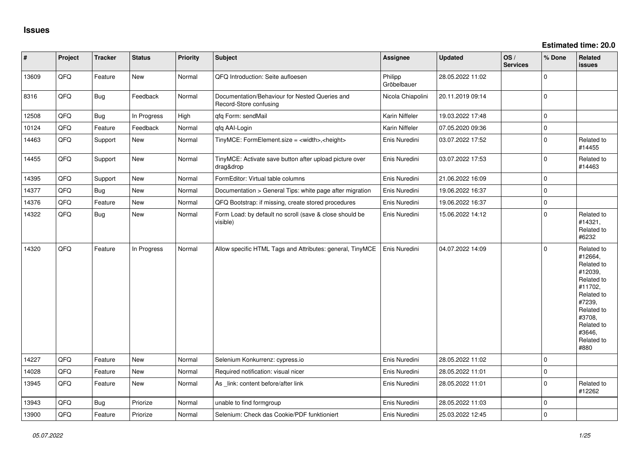| $\vert$ # | Project | <b>Tracker</b> | <b>Status</b> | Priority | Subject                                                                  | <b>Assignee</b>        | <b>Updated</b>   | OS/<br><b>Services</b> | % Done      | Related<br><b>issues</b>                                                                                                                                              |
|-----------|---------|----------------|---------------|----------|--------------------------------------------------------------------------|------------------------|------------------|------------------------|-------------|-----------------------------------------------------------------------------------------------------------------------------------------------------------------------|
| 13609     | QFQ     | Feature        | New           | Normal   | QFQ Introduction: Seite aufloesen                                        | Philipp<br>Gröbelbauer | 28.05.2022 11:02 |                        | $\mathbf 0$ |                                                                                                                                                                       |
| 8316      | QFQ     | <b>Bug</b>     | Feedback      | Normal   | Documentation/Behaviour for Nested Queries and<br>Record-Store confusing | Nicola Chiapolini      | 20.11.2019 09:14 |                        | $\mathbf 0$ |                                                                                                                                                                       |
| 12508     | QFQ     | Bug            | In Progress   | High     | qfq Form: sendMail                                                       | Karin Niffeler         | 19.03.2022 17:48 |                        | $\mathbf 0$ |                                                                                                                                                                       |
| 10124     | QFQ     | Feature        | Feedback      | Normal   | qfq AAI-Login                                                            | Karin Niffeler         | 07.05.2020 09:36 |                        | $\pmb{0}$   |                                                                                                                                                                       |
| 14463     | QFQ     | Support        | New           | Normal   | TinyMCE: FormElement.size = <width>,<height></height></width>            | Enis Nuredini          | 03.07.2022 17:52 |                        | $\mathbf 0$ | Related to<br>#14455                                                                                                                                                  |
| 14455     | QFQ     | Support        | New           | Normal   | TinyMCE: Activate save button after upload picture over<br>drag&drop     | Enis Nuredini          | 03.07.2022 17:53 |                        | $\mathbf 0$ | Related to<br>#14463                                                                                                                                                  |
| 14395     | QFQ     | Support        | New           | Normal   | FormEditor: Virtual table columns                                        | Enis Nuredini          | 21.06.2022 16:09 |                        | $\pmb{0}$   |                                                                                                                                                                       |
| 14377     | QFQ     | <b>Bug</b>     | New           | Normal   | Documentation > General Tips: white page after migration                 | Enis Nuredini          | 19.06.2022 16:37 |                        | $\mathbf 0$ |                                                                                                                                                                       |
| 14376     | QFQ     | Feature        | <b>New</b>    | Normal   | QFQ Bootstrap: if missing, create stored procedures                      | Enis Nuredini          | 19.06.2022 16:37 |                        | $\pmb{0}$   |                                                                                                                                                                       |
| 14322     | QFQ     | <b>Bug</b>     | New           | Normal   | Form Load: by default no scroll (save & close should be<br>visible)      | Enis Nuredini          | 15.06.2022 14:12 |                        | $\mathbf 0$ | Related to<br>#14321,<br>Related to<br>#6232                                                                                                                          |
| 14320     | QFQ     | Feature        | In Progress   | Normal   | Allow specific HTML Tags and Attributes: general, TinyMCE                | Enis Nuredini          | 04.07.2022 14:09 |                        | $\mathbf 0$ | Related to<br>#12664,<br>Related to<br>#12039,<br>Related to<br>#11702,<br>Related to<br>#7239,<br>Related to<br>#3708,<br>Related to<br>#3646,<br>Related to<br>#880 |
| 14227     | QFQ     | Feature        | <b>New</b>    | Normal   | Selenium Konkurrenz: cypress.io                                          | Enis Nuredini          | 28.05.2022 11:02 |                        | $\mathbf 0$ |                                                                                                                                                                       |
| 14028     | QFQ     | Feature        | New           | Normal   | Required notification: visual nicer                                      | Enis Nuredini          | 28.05.2022 11:01 |                        | $\mathbf 0$ |                                                                                                                                                                       |
| 13945     | QFQ     | Feature        | New           | Normal   | As _link: content before/after link                                      | Enis Nuredini          | 28.05.2022 11:01 |                        | $\mathbf 0$ | Related to<br>#12262                                                                                                                                                  |
| 13943     | QFQ     | Bug            | Priorize      | Normal   | unable to find formgroup                                                 | Enis Nuredini          | 28.05.2022 11:03 |                        | $\mathbf 0$ |                                                                                                                                                                       |
| 13900     | QFQ     | Feature        | Priorize      | Normal   | Selenium: Check das Cookie/PDF funktioniert                              | Enis Nuredini          | 25.03.2022 12:45 |                        | $\mathbf 0$ |                                                                                                                                                                       |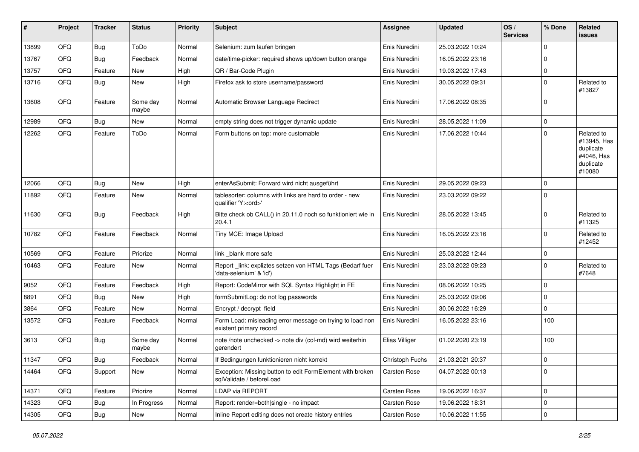| #     | Project | <b>Tracker</b> | <b>Status</b>     | <b>Priority</b> | <b>Subject</b>                                                                        | <b>Assignee</b> | <b>Updated</b>   | OS/<br><b>Services</b> | % Done      | Related<br>issues                                                           |
|-------|---------|----------------|-------------------|-----------------|---------------------------------------------------------------------------------------|-----------------|------------------|------------------------|-------------|-----------------------------------------------------------------------------|
| 13899 | QFQ     | Bug            | ToDo              | Normal          | Selenium: zum laufen bringen                                                          | Enis Nuredini   | 25.03.2022 10:24 |                        | $\Omega$    |                                                                             |
| 13767 | QFQ     | <b>Bug</b>     | Feedback          | Normal          | date/time-picker: required shows up/down button orange                                | Enis Nuredini   | 16.05.2022 23:16 |                        | $\Omega$    |                                                                             |
| 13757 | QFQ     | Feature        | New               | High            | QR / Bar-Code Plugin                                                                  | Enis Nuredini   | 19.03.2022 17:43 |                        | $\Omega$    |                                                                             |
| 13716 | QFQ     | <b>Bug</b>     | New               | High            | Firefox ask to store username/password                                                | Enis Nuredini   | 30.05.2022 09:31 |                        | $\Omega$    | Related to<br>#13827                                                        |
| 13608 | QFQ     | Feature        | Some day<br>maybe | Normal          | Automatic Browser Language Redirect                                                   | Enis Nuredini   | 17.06.2022 08:35 |                        | $\Omega$    |                                                                             |
| 12989 | QFQ     | Bug            | New               | Normal          | empty string does not trigger dynamic update                                          | Enis Nuredini   | 28.05.2022 11:09 |                        | $\Omega$    |                                                                             |
| 12262 | QFQ     | Feature        | ToDo              | Normal          | Form buttons on top: more customable                                                  | Enis Nuredini   | 17.06.2022 10:44 |                        | $\Omega$    | Related to<br>#13945, Has<br>duplicate<br>#4046, Has<br>duplicate<br>#10080 |
| 12066 | QFQ     | Bug            | <b>New</b>        | High            | enterAsSubmit: Forward wird nicht ausgeführt                                          | Enis Nuredini   | 29.05.2022 09:23 |                        | $\Omega$    |                                                                             |
| 11892 | QFQ     | Feature        | New               | Normal          | tablesorter: columns with links are hard to order - new<br>qualifier 'Y: <ord>'</ord> | Enis Nuredini   | 23.03.2022 09:22 |                        | $\Omega$    |                                                                             |
| 11630 | QFQ     | <b>Bug</b>     | Feedback          | High            | Bitte check ob CALL() in 20.11.0 noch so funktioniert wie in<br>20.4.1                | Enis Nuredini   | 28.05.2022 13:45 |                        | $\Omega$    | Related to<br>#11325                                                        |
| 10782 | QFQ     | Feature        | Feedback          | Normal          | Tiny MCE: Image Upload                                                                | Enis Nuredini   | 16.05.2022 23:16 |                        | $\Omega$    | Related to<br>#12452                                                        |
| 10569 | QFQ     | Feature        | Priorize          | Normal          | link blank more safe                                                                  | Enis Nuredini   | 25.03.2022 12:44 |                        | $\Omega$    |                                                                             |
| 10463 | QFQ     | Feature        | New               | Normal          | Report _link: expliztes setzen von HTML Tags (Bedarf fuer<br>'data-selenium' & 'id')  | Enis Nuredini   | 23.03.2022 09:23 |                        | $\Omega$    | Related to<br>#7648                                                         |
| 9052  | QFQ     | Feature        | Feedback          | High            | Report: CodeMirror with SQL Syntax Highlight in FE                                    | Enis Nuredini   | 08.06.2022 10:25 |                        | $\Omega$    |                                                                             |
| 8891  | QFQ     | <b>Bug</b>     | New               | High            | formSubmitLog: do not log passwords                                                   | Enis Nuredini   | 25.03.2022 09:06 |                        | $\Omega$    |                                                                             |
| 3864  | QFQ     | Feature        | New               | Normal          | Encrypt / decrypt field                                                               | Enis Nuredini   | 30.06.2022 16:29 |                        | $\Omega$    |                                                                             |
| 13572 | QFQ     | Feature        | Feedback          | Normal          | Form Load: misleading error message on trying to load non<br>existent primary record  | Enis Nuredini   | 16.05.2022 23:16 |                        | 100         |                                                                             |
| 3613  | QFQ     | Bug            | Some day<br>maybe | Normal          | note /note unchecked -> note div (col-md) wird weiterhin<br>gerendert                 | Elias Villiger  | 01.02.2020 23:19 |                        | 100         |                                                                             |
| 11347 | QFQ     | Bug            | Feedback          | Normal          | If Bedingungen funktionieren nicht korrekt                                            | Christoph Fuchs | 21.03.2021 20:37 |                        | 0           |                                                                             |
| 14464 | QFQ     | Support        | New               | Normal          | Exception: Missing button to edit FormElement with broken<br>sqlValidate / beforeLoad | Carsten Rose    | 04.07.2022 00:13 |                        | 0           |                                                                             |
| 14371 | QFQ     | Feature        | Priorize          | Normal          | LDAP via REPORT                                                                       | Carsten Rose    | 19.06.2022 16:37 |                        | $\Omega$    |                                                                             |
| 14323 | QFQ     | <b>Bug</b>     | In Progress       | Normal          | Report: render=both single - no impact                                                | Carsten Rose    | 19.06.2022 18:31 |                        | $\mathbf 0$ |                                                                             |
| 14305 | QFQ     | <b>Bug</b>     | New               | Normal          | Inline Report editing does not create history entries                                 | Carsten Rose    | 10.06.2022 11:55 |                        | 0           |                                                                             |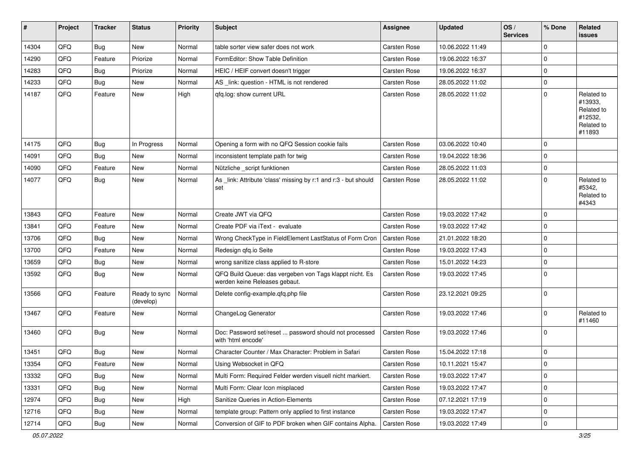| #     | Project | <b>Tracker</b> | <b>Status</b>              | <b>Priority</b> | <b>Subject</b>                                                                           | <b>Assignee</b>     | <b>Updated</b>   | OS/<br><b>Services</b> | % Done      | Related<br>issues                                                      |
|-------|---------|----------------|----------------------------|-----------------|------------------------------------------------------------------------------------------|---------------------|------------------|------------------------|-------------|------------------------------------------------------------------------|
| 14304 | QFQ     | <b>Bug</b>     | New                        | Normal          | table sorter view safer does not work                                                    | Carsten Rose        | 10.06.2022 11:49 |                        | $\Omega$    |                                                                        |
| 14290 | QFQ     | Feature        | Priorize                   | Normal          | FormEditor: Show Table Definition                                                        | Carsten Rose        | 19.06.2022 16:37 |                        | $\Omega$    |                                                                        |
| 14283 | QFQ     | <b>Bug</b>     | Priorize                   | Normal          | HEIC / HEIF convert doesn't trigger                                                      | <b>Carsten Rose</b> | 19.06.2022 16:37 |                        | $\Omega$    |                                                                        |
| 14233 | QFQ     | <b>Bug</b>     | New                        | Normal          | AS _link: question - HTML is not rendered                                                | Carsten Rose        | 28.05.2022 11:02 |                        | $\Omega$    |                                                                        |
| 14187 | QFQ     | Feature        | New                        | High            | gfg.log: show current URL                                                                | Carsten Rose        | 28.05.2022 11:02 |                        | $\Omega$    | Related to<br>#13933,<br>Related to<br>#12532,<br>Related to<br>#11893 |
| 14175 | QFQ     | <b>Bug</b>     | In Progress                | Normal          | Opening a form with no QFQ Session cookie fails                                          | Carsten Rose        | 03.06.2022 10:40 |                        | $\Omega$    |                                                                        |
| 14091 | QFQ     | <b>Bug</b>     | New                        | Normal          | inconsistent template path for twig                                                      | Carsten Rose        | 19.04.2022 18:36 |                        | $\Omega$    |                                                                        |
| 14090 | QFQ     | Feature        | New                        | Normal          | Nützliche _script funktionen                                                             | Carsten Rose        | 28.05.2022 11:03 |                        | $\Omega$    |                                                                        |
| 14077 | QFQ     | <b>Bug</b>     | New                        | Normal          | As _link: Attribute 'class' missing by r:1 and r:3 - but should<br>set                   | <b>Carsten Rose</b> | 28.05.2022 11:02 |                        | $\Omega$    | Related to<br>#5342,<br>Related to<br>#4343                            |
| 13843 | QFQ     | Feature        | <b>New</b>                 | Normal          | Create JWT via QFQ                                                                       | <b>Carsten Rose</b> | 19.03.2022 17:42 |                        | $\Omega$    |                                                                        |
| 13841 | QFQ     | Feature        | New                        | Normal          | Create PDF via iText - evaluate                                                          | Carsten Rose        | 19.03.2022 17:42 |                        | $\Omega$    |                                                                        |
| 13706 | QFQ     | <b>Bug</b>     | New                        | Normal          | Wrong CheckType in FieldElement LastStatus of Form Cron                                  | Carsten Rose        | 21.01.2022 18:20 |                        | $\Omega$    |                                                                        |
| 13700 | QFQ     | Feature        | New                        | Normal          | Redesign qfq.io Seite                                                                    | Carsten Rose        | 19.03.2022 17:43 |                        | $\Omega$    |                                                                        |
| 13659 | QFQ     | <b>Bug</b>     | New                        | Normal          | wrong sanitize class applied to R-store                                                  | Carsten Rose        | 15.01.2022 14:23 |                        | $\Omega$    |                                                                        |
| 13592 | QFQ     | <b>Bug</b>     | New                        | Normal          | QFQ Build Queue: das vergeben von Tags klappt nicht. Es<br>werden keine Releases gebaut. | Carsten Rose        | 19.03.2022 17:45 |                        | $\Omega$    |                                                                        |
| 13566 | QFQ     | Feature        | Ready to sync<br>(develop) | Normal          | Delete config-example.qfq.php file                                                       | Carsten Rose        | 23.12.2021 09:25 |                        | $\Omega$    |                                                                        |
| 13467 | QFQ     | Feature        | New                        | Normal          | ChangeLog Generator                                                                      | Carsten Rose        | 19.03.2022 17:46 |                        | $\Omega$    | Related to<br>#11460                                                   |
| 13460 | QFQ     | <b>Bug</b>     | New                        | Normal          | Doc: Password set/reset  password should not processed<br>with 'html encode'             | Carsten Rose        | 19.03.2022 17:46 |                        | $\Omega$    |                                                                        |
| 13451 | QFQ     | <b>Bug</b>     | New                        | Normal          | Character Counter / Max Character: Problem in Safari                                     | Carsten Rose        | 15.04.2022 17:18 |                        | $\Omega$    |                                                                        |
| 13354 | QFQ     | Feature        | New                        | Normal          | Using Websocket in QFQ                                                                   | Carsten Rose        | 10.11.2021 15:47 |                        | 0           |                                                                        |
| 13332 | QFQ     | <b>Bug</b>     | New                        | Normal          | Multi Form: Required Felder werden visuell nicht markiert.                               | Carsten Rose        | 19.03.2022 17:47 |                        | $\mathbf 0$ |                                                                        |
| 13331 | QFQ     | <b>Bug</b>     | New                        | Normal          | Multi Form: Clear Icon misplaced                                                         | Carsten Rose        | 19.03.2022 17:47 |                        | 0           |                                                                        |
| 12974 | QFQ     | <b>Bug</b>     | New                        | High            | Sanitize Queries in Action-Elements                                                      | Carsten Rose        | 07.12.2021 17:19 |                        | $\mathbf 0$ |                                                                        |
| 12716 | QFQ     | <b>Bug</b>     | New                        | Normal          | template group: Pattern only applied to first instance                                   | Carsten Rose        | 19.03.2022 17:47 |                        | $\mathbf 0$ |                                                                        |
| 12714 | QFQ     | <b>Bug</b>     | New                        | Normal          | Conversion of GIF to PDF broken when GIF contains Alpha.                                 | Carsten Rose        | 19.03.2022 17:49 |                        | 0           |                                                                        |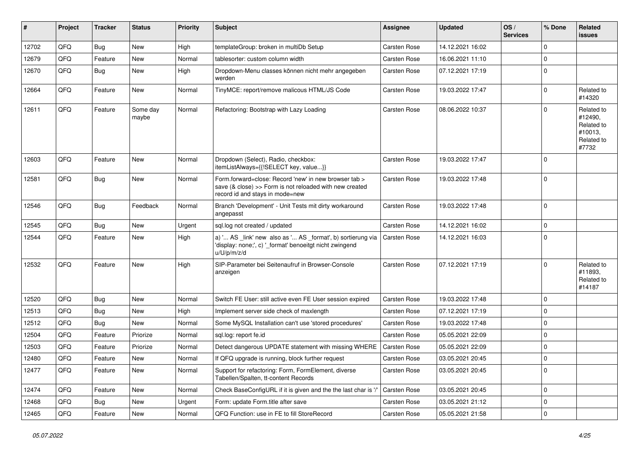| #     | Project | <b>Tracker</b> | <b>Status</b>     | <b>Priority</b> | <b>Subject</b>                                                                                                                                      | Assignee            | <b>Updated</b>   | OS/<br><b>Services</b> | % Done      | Related<br>issues                                                     |
|-------|---------|----------------|-------------------|-----------------|-----------------------------------------------------------------------------------------------------------------------------------------------------|---------------------|------------------|------------------------|-------------|-----------------------------------------------------------------------|
| 12702 | QFQ     | Bug            | New               | High            | templateGroup: broken in multiDb Setup                                                                                                              | <b>Carsten Rose</b> | 14.12.2021 16:02 |                        | $\mathbf 0$ |                                                                       |
| 12679 | QFQ     | Feature        | New               | Normal          | tablesorter: custom column width                                                                                                                    | Carsten Rose        | 16.06.2021 11:10 |                        | $\mathbf 0$ |                                                                       |
| 12670 | QFQ     | Bug            | New               | High            | Dropdown-Menu classes können nicht mehr angegeben<br>werden                                                                                         | Carsten Rose        | 07.12.2021 17:19 |                        | $\mathbf 0$ |                                                                       |
| 12664 | QFQ     | Feature        | New               | Normal          | TinyMCE: report/remove malicous HTML/JS Code                                                                                                        | Carsten Rose        | 19.03.2022 17:47 |                        | $\Omega$    | Related to<br>#14320                                                  |
| 12611 | QFQ     | Feature        | Some day<br>maybe | Normal          | Refactoring: Bootstrap with Lazy Loading                                                                                                            | Carsten Rose        | 08.06.2022 10:37 |                        | $\Omega$    | Related to<br>#12490,<br>Related to<br>#10013.<br>Related to<br>#7732 |
| 12603 | QFQ     | Feature        | New               | Normal          | Dropdown (Select), Radio, checkbox:<br>itemListAlways={{!SELECT key, value}}                                                                        | Carsten Rose        | 19.03.2022 17:47 |                        | 0           |                                                                       |
| 12581 | QFQ     | <b>Bug</b>     | New               | Normal          | Form.forward=close: Record 'new' in new browser tab ><br>save (& close) >> Form is not reloaded with new created<br>record id and stays in mode=new | Carsten Rose        | 19.03.2022 17:48 |                        | $\Omega$    |                                                                       |
| 12546 | QFQ     | <b>Bug</b>     | Feedback          | Normal          | Branch 'Development' - Unit Tests mit dirty workaround<br>angepasst                                                                                 | Carsten Rose        | 19.03.2022 17:48 |                        | $\mathbf 0$ |                                                                       |
| 12545 | QFQ     | Bug            | New               | Urgent          | sql.log not created / updated                                                                                                                       | Carsten Rose        | 14.12.2021 16:02 |                        | $\mathbf 0$ |                                                                       |
| 12544 | QFQ     | Feature        | New               | High            | a) ' AS _link' new also as ' AS _format', b) sortierung via<br>'display: none;', c) '_format' benoeitgt nicht zwingend<br>u/U/p/m/z/d               | Carsten Rose        | 14.12.2021 16:03 |                        | $\Omega$    |                                                                       |
| 12532 | QFQ     | Feature        | New               | High            | SIP-Parameter bei Seitenaufruf in Browser-Console<br>anzeigen                                                                                       | Carsten Rose        | 07.12.2021 17:19 |                        | $\Omega$    | Related to<br>#11893,<br>Related to<br>#14187                         |
| 12520 | QFQ     | <b>Bug</b>     | New               | Normal          | Switch FE User: still active even FE User session expired                                                                                           | Carsten Rose        | 19.03.2022 17:48 |                        | $\Omega$    |                                                                       |
| 12513 | QFQ     | Bug            | New               | High            | Implement server side check of maxlength                                                                                                            | Carsten Rose        | 07.12.2021 17:19 |                        | $\mathbf 0$ |                                                                       |
| 12512 | QFQ     | <b>Bug</b>     | New               | Normal          | Some MySQL Installation can't use 'stored procedures'                                                                                               | Carsten Rose        | 19.03.2022 17:48 |                        | $\mathbf 0$ |                                                                       |
| 12504 | QFQ     | Feature        | Priorize          | Normal          | sql.log: report fe.id                                                                                                                               | Carsten Rose        | 05.05.2021 22:09 |                        | $\mathbf 0$ |                                                                       |
| 12503 | QFQ     | Feature        | Priorize          | Normal          | Detect dangerous UPDATE statement with missing WHERE                                                                                                | Carsten Rose        | 05.05.2021 22:09 |                        | 0           |                                                                       |
| 12480 | QFQ     | Feature        | New               | Normal          | If QFQ upgrade is running, block further request                                                                                                    | Carsten Rose        | 03.05.2021 20:45 |                        | $\mathbf 0$ |                                                                       |
| 12477 | QFQ     | Feature        | New               | Normal          | Support for refactoring: Form, FormElement, diverse<br>Tabellen/Spalten, tt-content Records                                                         | Carsten Rose        | 03.05.2021 20:45 |                        | $\mathbf 0$ |                                                                       |
| 12474 | QFQ     | Feature        | New               | Normal          | Check BaseConfigURL if it is given and the the last char is '/'                                                                                     | Carsten Rose        | 03.05.2021 20:45 |                        | 0           |                                                                       |
| 12468 | QFQ     | Bug            | New               | Urgent          | Form: update Form.title after save                                                                                                                  | Carsten Rose        | 03.05.2021 21:12 |                        | 0           |                                                                       |
| 12465 | QFQ     | Feature        | New               | Normal          | QFQ Function: use in FE to fill StoreRecord                                                                                                         | Carsten Rose        | 05.05.2021 21:58 |                        | $\pmb{0}$   |                                                                       |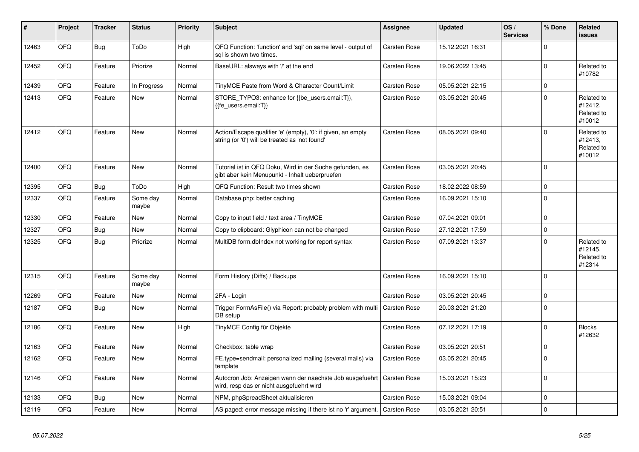| #     | Project | <b>Tracker</b> | <b>Status</b>     | <b>Priority</b> | <b>Subject</b>                                                                                                 | Assignee            | <b>Updated</b>   | OS/<br><b>Services</b> | % Done      | Related<br>issues                             |
|-------|---------|----------------|-------------------|-----------------|----------------------------------------------------------------------------------------------------------------|---------------------|------------------|------------------------|-------------|-----------------------------------------------|
| 12463 | QFQ     | <b>Bug</b>     | ToDo              | High            | QFQ Function: 'function' and 'sgl' on same level - output of<br>sal is shown two times.                        | Carsten Rose        | 15.12.2021 16:31 |                        | $\mathbf 0$ |                                               |
| 12452 | QFQ     | Feature        | Priorize          | Normal          | BaseURL: alsways with '/' at the end                                                                           | Carsten Rose        | 19.06.2022 13:45 |                        | $\mathbf 0$ | Related to<br>#10782                          |
| 12439 | QFQ     | Feature        | In Progress       | Normal          | TinyMCE Paste from Word & Character Count/Limit                                                                | Carsten Rose        | 05.05.2021 22:15 |                        | $\mathbf 0$ |                                               |
| 12413 | QFQ     | Feature        | New               | Normal          | STORE_TYPO3: enhance for {{be_users.email:T}},<br>{{fe users.email:T}}                                         | Carsten Rose        | 03.05.2021 20:45 |                        | $\mathbf 0$ | Related to<br>#12412,<br>Related to<br>#10012 |
| 12412 | QFQ     | Feature        | <b>New</b>        | Normal          | Action/Escape qualifier 'e' (empty), '0': if given, an empty<br>string (or '0') will be treated as 'not found' | Carsten Rose        | 08.05.2021 09:40 |                        | $\Omega$    | Related to<br>#12413.<br>Related to<br>#10012 |
| 12400 | QFQ     | Feature        | New               | Normal          | Tutorial ist in QFQ Doku, Wird in der Suche gefunden, es<br>gibt aber kein Menupunkt - Inhalt ueberpruefen     | Carsten Rose        | 03.05.2021 20:45 |                        | $\mathbf 0$ |                                               |
| 12395 | QFQ     | Bug            | ToDo              | High            | QFQ Function: Result two times shown                                                                           | Carsten Rose        | 18.02.2022 08:59 |                        | $\pmb{0}$   |                                               |
| 12337 | QFQ     | Feature        | Some day<br>maybe | Normal          | Database.php: better caching                                                                                   | Carsten Rose        | 16.09.2021 15:10 |                        | $\pmb{0}$   |                                               |
| 12330 | QFQ     | Feature        | New               | Normal          | Copy to input field / text area / TinyMCE                                                                      | Carsten Rose        | 07.04.2021 09:01 |                        | 0           |                                               |
| 12327 | QFQ     | <b>Bug</b>     | New               | Normal          | Copy to clipboard: Glyphicon can not be changed                                                                | Carsten Rose        | 27.12.2021 17:59 |                        | $\mathbf 0$ |                                               |
| 12325 | QFQ     | Bug            | Priorize          | Normal          | MultiDB form.dblndex not working for report syntax                                                             | Carsten Rose        | 07.09.2021 13:37 |                        | $\Omega$    | Related to<br>#12145,<br>Related to<br>#12314 |
| 12315 | QFQ     | Feature        | Some day<br>maybe | Normal          | Form History (Diffs) / Backups                                                                                 | Carsten Rose        | 16.09.2021 15:10 |                        | $\mathbf 0$ |                                               |
| 12269 | QFQ     | Feature        | New               | Normal          | 2FA - Login                                                                                                    | Carsten Rose        | 03.05.2021 20:45 |                        | 0           |                                               |
| 12187 | QFQ     | Bug            | New               | Normal          | Trigger FormAsFile() via Report: probably problem with multi<br>DB setup                                       | <b>Carsten Rose</b> | 20.03.2021 21:20 |                        | $\mathbf 0$ |                                               |
| 12186 | QFQ     | Feature        | New               | High            | TinyMCE Config für Objekte                                                                                     | Carsten Rose        | 07.12.2021 17:19 |                        | $\mathbf 0$ | <b>Blocks</b><br>#12632                       |
| 12163 | QFQ     | Feature        | <b>New</b>        | Normal          | Checkbox: table wrap                                                                                           | Carsten Rose        | 03.05.2021 20:51 |                        | $\Omega$    |                                               |
| 12162 | QFQ     | Feature        | New               | Normal          | FE.type=sendmail: personalized mailing (several mails) via<br>template                                         | Carsten Rose        | 03.05.2021 20:45 |                        | $\Omega$    |                                               |
| 12146 | QFQ     | Feature        | New               | Normal          | Autocron Job: Anzeigen wann der naechste Job ausgefuehrt<br>wird, resp das er nicht ausgefuehrt wird           | Carsten Rose        | 15.03.2021 15:23 |                        | $\Omega$    |                                               |
| 12133 | QFQ     | <b>Bug</b>     | New               | Normal          | NPM, phpSpreadSheet aktualisieren                                                                              | <b>Carsten Rose</b> | 15.03.2021 09:04 |                        | 0           |                                               |
| 12119 | QFQ     | Feature        | New               | Normal          | AS paged: error message missing if there ist no 'r' argument.                                                  | <b>Carsten Rose</b> | 03.05.2021 20:51 |                        | $\mathbf 0$ |                                               |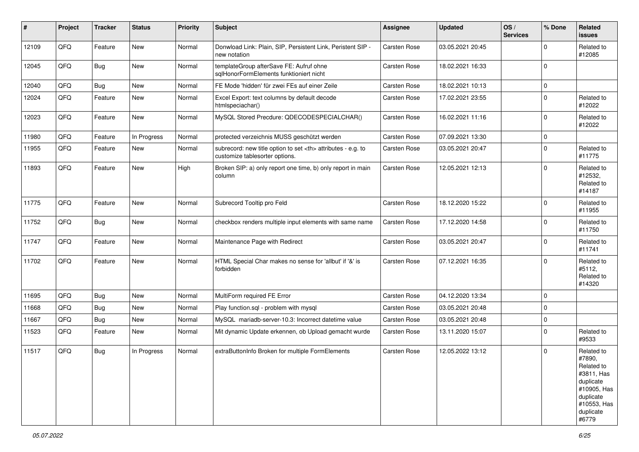| #     | Project | <b>Tracker</b> | <b>Status</b> | <b>Priority</b> | <b>Subject</b>                                                                                       | <b>Assignee</b>                                        | <b>Updated</b>   | OS/<br><b>Services</b> | % Done      | Related<br>issues                                                                                                              |                      |
|-------|---------|----------------|---------------|-----------------|------------------------------------------------------------------------------------------------------|--------------------------------------------------------|------------------|------------------------|-------------|--------------------------------------------------------------------------------------------------------------------------------|----------------------|
| 12109 | QFQ     | Feature        | New           | Normal          | Donwload Link: Plain, SIP, Persistent Link, Peristent SIP -<br>new notation                          | Carsten Rose                                           | 03.05.2021 20:45 |                        | $\mathbf 0$ | Related to<br>#12085                                                                                                           |                      |
| 12045 | QFQ     | Bug            | New           | Normal          | templateGroup afterSave FE: Aufruf ohne<br>sqlHonorFormElements funktioniert nicht                   | <b>Carsten Rose</b>                                    | 18.02.2021 16:33 |                        | $\mathbf 0$ |                                                                                                                                |                      |
| 12040 | QFQ     | Bug            | New           | Normal          | FE Mode 'hidden' für zwei FEs auf einer Zeile                                                        | Carsten Rose                                           | 18.02.2021 10:13 |                        | $\mathbf 0$ |                                                                                                                                |                      |
| 12024 | QFQ     | Feature        | New           | Normal          | Excel Export: text columns by default decode<br>htmlspeciachar()                                     | Carsten Rose                                           | 17.02.2021 23:55 |                        | $\mathbf 0$ | Related to<br>#12022                                                                                                           |                      |
| 12023 | QFQ     | Feature        | New           | Normal          | MySQL Stored Precdure: QDECODESPECIALCHAR()                                                          | Carsten Rose                                           | 16.02.2021 11:16 |                        | $\mathbf 0$ | Related to<br>#12022                                                                                                           |                      |
| 11980 | QFQ     | Feature        | In Progress   | Normal          | protected verzeichnis MUSS geschützt werden                                                          | Carsten Rose                                           | 07.09.2021 13:30 |                        | 0           |                                                                                                                                |                      |
| 11955 | QFQ     | Feature        | New           | Normal          | subrecord: new title option to set <th> attributes - e.g. to<br/>customize tablesorter options.</th> | attributes - e.g. to<br>customize tablesorter options. | Carsten Rose     | 03.05.2021 20:47       |             | $\mathbf 0$                                                                                                                    | Related to<br>#11775 |
| 11893 | QFQ     | Feature        | <b>New</b>    | High            | Broken SIP: a) only report one time, b) only report in main<br>column                                | Carsten Rose                                           | 12.05.2021 12:13 |                        | $\mathbf 0$ | Related to<br>#12532,<br>Related to<br>#14187                                                                                  |                      |
| 11775 | QFQ     | Feature        | <b>New</b>    | Normal          | Subrecord Tooltip pro Feld                                                                           | Carsten Rose                                           | 18.12.2020 15:22 |                        | $\Omega$    | Related to<br>#11955                                                                                                           |                      |
| 11752 | QFQ     | <b>Bug</b>     | New           | Normal          | checkbox renders multiple input elements with same name                                              | Carsten Rose                                           | 17.12.2020 14:58 |                        | $\mathbf 0$ | Related to<br>#11750                                                                                                           |                      |
| 11747 | QFQ     | Feature        | New           | Normal          | Maintenance Page with Redirect                                                                       | Carsten Rose                                           | 03.05.2021 20:47 |                        | $\mathbf 0$ | Related to<br>#11741                                                                                                           |                      |
| 11702 | QFQ     | Feature        | <b>New</b>    | Normal          | HTML Special Char makes no sense for 'allbut' if '&' is<br>forbidden                                 | Carsten Rose                                           | 07.12.2021 16:35 |                        | $\Omega$    | Related to<br>#5112,<br>Related to<br>#14320                                                                                   |                      |
| 11695 | QFQ     | Bug            | New           | Normal          | MultiForm required FE Error                                                                          | Carsten Rose                                           | 04.12.2020 13:34 |                        | $\mathbf 0$ |                                                                                                                                |                      |
| 11668 | QFQ     | <b>Bug</b>     | <b>New</b>    | Normal          | Play function.sql - problem with mysql                                                               | Carsten Rose                                           | 03.05.2021 20:48 |                        | $\mathbf 0$ |                                                                                                                                |                      |
| 11667 | QFQ     | <b>Bug</b>     | New           | Normal          | MySQL mariadb-server-10.3: Incorrect datetime value                                                  | Carsten Rose                                           | 03.05.2021 20:48 |                        | $\mathbf 0$ |                                                                                                                                |                      |
| 11523 | QFQ     | Feature        | New           | Normal          | Mit dynamic Update erkennen, ob Upload gemacht wurde                                                 | Carsten Rose                                           | 13.11.2020 15:07 |                        | $\mathbf 0$ | Related to<br>#9533                                                                                                            |                      |
| 11517 | QFQ     | Bug            | In Progress   | Normal          | extraButtonInfo Broken for multiple FormElements                                                     | Carsten Rose                                           | 12.05.2022 13:12 |                        | $\mathbf 0$ | Related to<br>#7890,<br>Related to<br>#3811, Has<br>duplicate<br>#10905, Has<br>duplicate<br>#10553, Has<br>duplicate<br>#6779 |                      |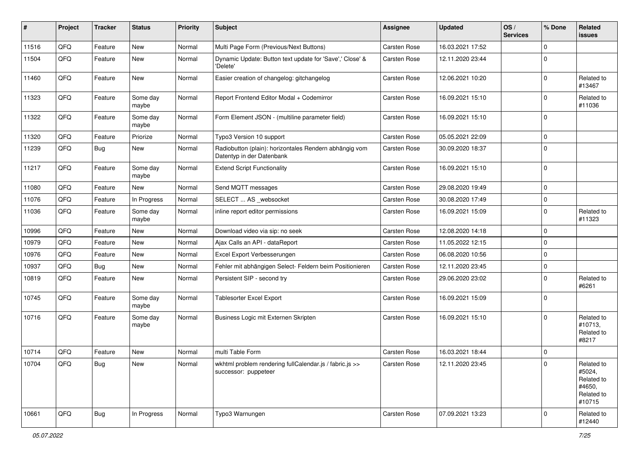| #     | Project | <b>Tracker</b> | <b>Status</b>     | <b>Priority</b> | <b>Subject</b>                                                                      | <b>Assignee</b> | <b>Updated</b>   | OS/<br><b>Services</b> | % Done      | Related<br>issues                                                    |
|-------|---------|----------------|-------------------|-----------------|-------------------------------------------------------------------------------------|-----------------|------------------|------------------------|-------------|----------------------------------------------------------------------|
| 11516 | QFQ     | Feature        | New               | Normal          | Multi Page Form (Previous/Next Buttons)                                             | Carsten Rose    | 16.03.2021 17:52 |                        | $\mathbf 0$ |                                                                      |
| 11504 | QFQ     | Feature        | New               | Normal          | Dynamic Update: Button text update for 'Save',' Close' &<br>'Delete'                | Carsten Rose    | 12.11.2020 23:44 |                        | $\mathbf 0$ |                                                                      |
| 11460 | QFQ     | Feature        | <b>New</b>        | Normal          | Easier creation of changelog: gitchangelog                                          | Carsten Rose    | 12.06.2021 10:20 |                        | $\mathbf 0$ | Related to<br>#13467                                                 |
| 11323 | QFQ     | Feature        | Some day<br>maybe | Normal          | Report Frontend Editor Modal + Codemirror                                           | Carsten Rose    | 16.09.2021 15:10 |                        | $\mathbf 0$ | Related to<br>#11036                                                 |
| 11322 | QFQ     | Feature        | Some day<br>maybe | Normal          | Form Element JSON - (multiline parameter field)                                     | Carsten Rose    | 16.09.2021 15:10 |                        | $\mathbf 0$ |                                                                      |
| 11320 | QFQ     | Feature        | Priorize          | Normal          | Typo3 Version 10 support                                                            | Carsten Rose    | 05.05.2021 22:09 |                        | $\pmb{0}$   |                                                                      |
| 11239 | QFQ     | Bug            | New               | Normal          | Radiobutton (plain): horizontales Rendern abhängig vom<br>Datentyp in der Datenbank | Carsten Rose    | 30.09.2020 18:37 |                        | $\mathbf 0$ |                                                                      |
| 11217 | QFQ     | Feature        | Some day<br>maybe | Normal          | <b>Extend Script Functionality</b>                                                  | Carsten Rose    | 16.09.2021 15:10 |                        | $\mathbf 0$ |                                                                      |
| 11080 | QFQ     | Feature        | <b>New</b>        | Normal          | Send MQTT messages                                                                  | Carsten Rose    | 29.08.2020 19:49 |                        | $\mathbf 0$ |                                                                      |
| 11076 | QFQ     | Feature        | In Progress       | Normal          | SELECT  AS _websocket                                                               | Carsten Rose    | 30.08.2020 17:49 |                        | 0           |                                                                      |
| 11036 | QFQ     | Feature        | Some day<br>maybe | Normal          | inline report editor permissions                                                    | Carsten Rose    | 16.09.2021 15:09 |                        | $\mathbf 0$ | Related to<br>#11323                                                 |
| 10996 | QFQ     | Feature        | New               | Normal          | Download video via sip: no seek                                                     | Carsten Rose    | 12.08.2020 14:18 |                        | $\mathbf 0$ |                                                                      |
| 10979 | QFQ     | Feature        | <b>New</b>        | Normal          | Ajax Calls an API - dataReport                                                      | Carsten Rose    | 11.05.2022 12:15 |                        | $\mathbf 0$ |                                                                      |
| 10976 | QFQ     | Feature        | New               | Normal          | Excel Export Verbesserungen                                                         | Carsten Rose    | 06.08.2020 10:56 |                        | $\mathbf 0$ |                                                                      |
| 10937 | QFQ     | Bug            | New               | Normal          | Fehler mit abhängigen Select- Feldern beim Positionieren                            | Carsten Rose    | 12.11.2020 23:45 |                        | $\pmb{0}$   |                                                                      |
| 10819 | QFQ     | Feature        | New               | Normal          | Persistent SIP - second try                                                         | Carsten Rose    | 29.06.2020 23:02 |                        | $\mathbf 0$ | Related to<br>#6261                                                  |
| 10745 | QFQ     | Feature        | Some day<br>maybe | Normal          | <b>Tablesorter Excel Export</b>                                                     | Carsten Rose    | 16.09.2021 15:09 |                        | $\mathbf 0$ |                                                                      |
| 10716 | QFQ     | Feature        | Some day<br>maybe | Normal          | Business Logic mit Externen Skripten                                                | Carsten Rose    | 16.09.2021 15:10 |                        | $\Omega$    | Related to<br>#10713,<br>Related to<br>#8217                         |
| 10714 | QFQ     | Feature        | <b>New</b>        | Normal          | multi Table Form                                                                    | Carsten Rose    | 16.03.2021 18:44 |                        | $\mathbf 0$ |                                                                      |
| 10704 | QFQ     | <b>Bug</b>     | New               | Normal          | wkhtml problem rendering fullCalendar.js / fabric.js >><br>successor: puppeteer     | Carsten Rose    | 12.11.2020 23:45 |                        | l 0         | Related to<br>#5024,<br>Related to<br>#4650,<br>Related to<br>#10715 |
| 10661 | QFQ     | <b>Bug</b>     | In Progress       | Normal          | Typo3 Warnungen                                                                     | Carsten Rose    | 07.09.2021 13:23 |                        | $\mathbf 0$ | Related to<br>#12440                                                 |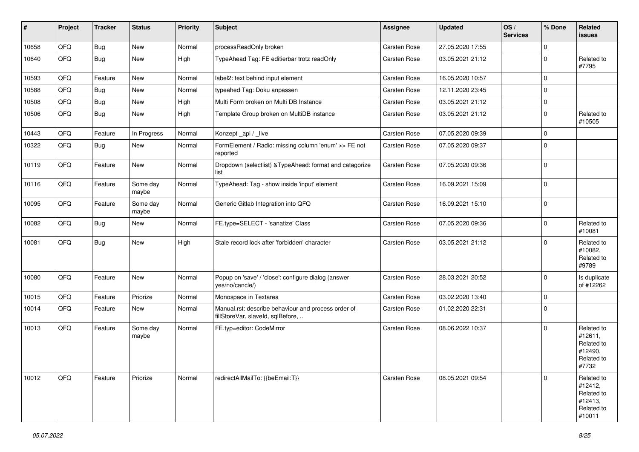| #     | Project | <b>Tracker</b> | <b>Status</b>     | <b>Priority</b> | <b>Subject</b>                                                                           | <b>Assignee</b> | <b>Updated</b>   | OS/<br><b>Services</b> | % Done      | Related<br><b>issues</b>                                               |
|-------|---------|----------------|-------------------|-----------------|------------------------------------------------------------------------------------------|-----------------|------------------|------------------------|-------------|------------------------------------------------------------------------|
| 10658 | QFQ     | <b>Bug</b>     | New               | Normal          | processReadOnly broken                                                                   | Carsten Rose    | 27.05.2020 17:55 |                        | $\mathbf 0$ |                                                                        |
| 10640 | QFQ     | <b>Bug</b>     | New               | High            | TypeAhead Tag: FE editierbar trotz readOnly                                              | Carsten Rose    | 03.05.2021 21:12 |                        | $\pmb{0}$   | Related to<br>#7795                                                    |
| 10593 | QFQ     | Feature        | New               | Normal          | label2: text behind input element                                                        | Carsten Rose    | 16.05.2020 10:57 |                        | $\mathbf 0$ |                                                                        |
| 10588 | QFQ     | <b>Bug</b>     | New               | Normal          | typeahed Tag: Doku anpassen                                                              | Carsten Rose    | 12.11.2020 23:45 |                        | $\mathbf 0$ |                                                                        |
| 10508 | QFQ     | Bug            | New               | High            | Multi Form broken on Multi DB Instance                                                   | Carsten Rose    | 03.05.2021 21:12 |                        | $\pmb{0}$   |                                                                        |
| 10506 | QFQ     | <b>Bug</b>     | New               | High            | Template Group broken on MultiDB instance                                                | Carsten Rose    | 03.05.2021 21:12 |                        | $\pmb{0}$   | Related to<br>#10505                                                   |
| 10443 | QFQ     | Feature        | In Progress       | Normal          | Konzept_api / _live                                                                      | Carsten Rose    | 07.05.2020 09:39 |                        | $\mathbf 0$ |                                                                        |
| 10322 | QFQ     | <b>Bug</b>     | New               | Normal          | FormElement / Radio: missing column 'enum' >> FE not<br>reported                         | Carsten Rose    | 07.05.2020 09:37 |                        | $\pmb{0}$   |                                                                        |
| 10119 | QFQ     | Feature        | New               | Normal          | Dropdown (selectlist) & TypeAhead: format and catagorize<br>list                         | Carsten Rose    | 07.05.2020 09:36 |                        | $\pmb{0}$   |                                                                        |
| 10116 | QFQ     | Feature        | Some day<br>maybe | Normal          | TypeAhead: Tag - show inside 'input' element                                             | Carsten Rose    | 16.09.2021 15:09 |                        | $\pmb{0}$   |                                                                        |
| 10095 | QFQ     | Feature        | Some day<br>maybe | Normal          | Generic Gitlab Integration into QFQ                                                      | Carsten Rose    | 16.09.2021 15:10 |                        | $\pmb{0}$   |                                                                        |
| 10082 | QFQ     | <b>Bug</b>     | New               | Normal          | FE.type=SELECT - 'sanatize' Class                                                        | Carsten Rose    | 07.05.2020 09:36 |                        | $\pmb{0}$   | Related to<br>#10081                                                   |
| 10081 | QFQ     | Bug            | New               | High            | Stale record lock after 'forbidden' character                                            | Carsten Rose    | 03.05.2021 21:12 |                        | $\mathbf 0$ | Related to<br>#10082,<br>Related to<br>#9789                           |
| 10080 | QFQ     | Feature        | New               | Normal          | Popup on 'save' / 'close': configure dialog (answer<br>yes/no/cancle/)                   | Carsten Rose    | 28.03.2021 20:52 |                        | $\pmb{0}$   | Is duplicate<br>of #12262                                              |
| 10015 | QFQ     | Feature        | Priorize          | Normal          | Monospace in Textarea                                                                    | Carsten Rose    | 03.02.2020 13:40 |                        | $\pmb{0}$   |                                                                        |
| 10014 | QFQ     | Feature        | New               | Normal          | Manual.rst: describe behaviour and process order of<br>fillStoreVar, slaveId, sqlBefore, | Carsten Rose    | 01.02.2020 22:31 |                        | $\mathbf 0$ |                                                                        |
| 10013 | QFQ     | Feature        | Some day<br>maybe | Normal          | FE.typ=editor: CodeMirror                                                                | Carsten Rose    | 08.06.2022 10:37 |                        | $\pmb{0}$   | Related to<br>#12611,<br>Related to<br>#12490,<br>Related to<br>#7732  |
| 10012 | QFQ     | Feature        | Priorize          | Normal          | redirectAllMailTo: {{beEmail:T}}                                                         | Carsten Rose    | 08.05.2021 09:54 |                        | $\mathbf 0$ | Related to<br>#12412,<br>Related to<br>#12413,<br>Related to<br>#10011 |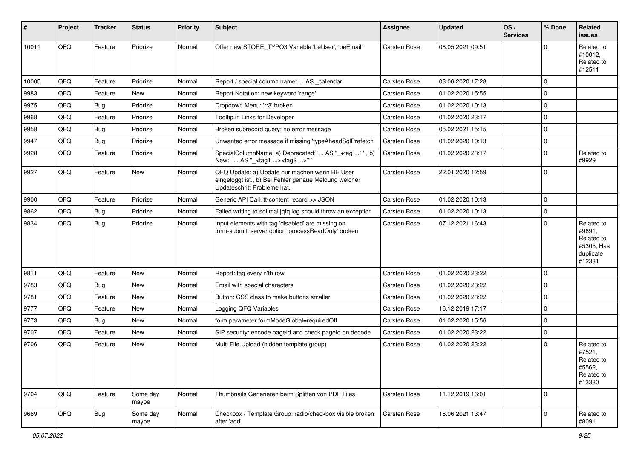| ∦     | Project | <b>Tracker</b> | <b>Status</b>     | <b>Priority</b> | <b>Subject</b>                                                                                                                        | <b>Assignee</b> | <b>Updated</b>   | OS/<br><b>Services</b> | % Done      | Related<br>issues                                                       |
|-------|---------|----------------|-------------------|-----------------|---------------------------------------------------------------------------------------------------------------------------------------|-----------------|------------------|------------------------|-------------|-------------------------------------------------------------------------|
| 10011 | QFQ     | Feature        | Priorize          | Normal          | Offer new STORE TYPO3 Variable 'beUser', 'beEmail'                                                                                    | Carsten Rose    | 08.05.2021 09:51 |                        | $\Omega$    | Related to<br>#10012,<br>Related to<br>#12511                           |
| 10005 | QFQ     | Feature        | Priorize          | Normal          | Report / special column name:  AS calendar                                                                                            | Carsten Rose    | 03.06.2020 17:28 |                        | $\Omega$    |                                                                         |
| 9983  | QFQ     | Feature        | New               | Normal          | Report Notation: new keyword 'range'                                                                                                  | Carsten Rose    | 01.02.2020 15:55 |                        | $\mathbf 0$ |                                                                         |
| 9975  | QFQ     | <b>Bug</b>     | Priorize          | Normal          | Dropdown Menu: 'r:3' broken                                                                                                           | Carsten Rose    | 01.02.2020 10:13 |                        | $\mathbf 0$ |                                                                         |
| 9968  | QFQ     | Feature        | Priorize          | Normal          | Tooltip in Links for Developer                                                                                                        | Carsten Rose    | 01.02.2020 23:17 |                        | $\Omega$    |                                                                         |
| 9958  | QFQ     | <b>Bug</b>     | Priorize          | Normal          | Broken subrecord query: no error message                                                                                              | Carsten Rose    | 05.02.2021 15:15 |                        | $\mathbf 0$ |                                                                         |
| 9947  | QFQ     | <b>Bug</b>     | Priorize          | Normal          | Unwanted error message if missing 'typeAheadSqlPrefetch'                                                                              | Carsten Rose    | 01.02.2020 10:13 |                        | $\mathbf 0$ |                                                                         |
| 9928  | QFQ     | Feature        | Priorize          | Normal          | SpecialColumnName: a) Deprecated: ' AS "_+tag " ', b)<br>New: ' AS "_ <tag1><tag2>"'</tag2></tag1>                                    | Carsten Rose    | 01.02.2020 23:17 |                        | $\mathbf 0$ | Related to<br>#9929                                                     |
| 9927  | QFQ     | Feature        | New               | Normal          | QFQ Update: a) Update nur machen wenn BE User<br>eingeloggt ist., b) Bei Fehler genaue Meldung welcher<br>Updateschritt Probleme hat. | Carsten Rose    | 22.01.2020 12:59 |                        | $\Omega$    |                                                                         |
| 9900  | QFQ     | Feature        | Priorize          | Normal          | Generic API Call: tt-content record >> JSON                                                                                           | Carsten Rose    | 01.02.2020 10:13 |                        | $\Omega$    |                                                                         |
| 9862  | QFQ     | Bug            | Priorize          | Normal          | Failed writing to sql mail qfq.log should throw an exception                                                                          | Carsten Rose    | 01.02.2020 10:13 |                        | $\mathbf 0$ |                                                                         |
| 9834  | QFQ     | Bug            | Priorize          | Normal          | Input elements with tag 'disabled' are missing on<br>form-submit: server option 'processReadOnly' broken                              | Carsten Rose    | 07.12.2021 16:43 |                        | $\Omega$    | Related to<br>#9691,<br>Related to<br>#5305, Has<br>duplicate<br>#12331 |
| 9811  | QFQ     | Feature        | New               | Normal          | Report: tag every n'th row                                                                                                            | Carsten Rose    | 01.02.2020 23:22 |                        | $\Omega$    |                                                                         |
| 9783  | QFQ     | Bug            | New               | Normal          | Email with special characters                                                                                                         | Carsten Rose    | 01.02.2020 23:22 |                        | $\Omega$    |                                                                         |
| 9781  | QFQ     | Feature        | New               | Normal          | Button: CSS class to make buttons smaller                                                                                             | Carsten Rose    | 01.02.2020 23:22 |                        | $\Omega$    |                                                                         |
| 9777  | QFQ     | Feature        | New               | Normal          | Logging QFQ Variables                                                                                                                 | Carsten Rose    | 16.12.2019 17:17 |                        | $\mathbf 0$ |                                                                         |
| 9773  | QFQ     | Bug            | New               | Normal          | form.parameter.formModeGlobal=requiredOff                                                                                             | Carsten Rose    | 01.02.2020 15:56 |                        | $\mathbf 0$ |                                                                         |
| 9707  | QFQ     | Feature        | New               | Normal          | SIP security: encode pageld and check pageld on decode                                                                                | Carsten Rose    | 01.02.2020 23:22 |                        | $\mathbf 0$ |                                                                         |
| 9706  | QFQ     | Feature        | New               | Normal          | Multi File Upload (hidden template group)                                                                                             | Carsten Rose    | 01.02.2020 23:22 |                        | $\Omega$    | Related to<br>#7521,<br>Related to<br>#5562,<br>Related to<br>#13330    |
| 9704  | QFQ     | Feature        | Some day<br>maybe | Normal          | Thumbnails Generieren beim Splitten von PDF Files                                                                                     | Carsten Rose    | 11.12.2019 16:01 |                        | $\mathbf 0$ |                                                                         |
| 9669  | QFO     | Bug            | Some day<br>maybe | Normal          | Checkbox / Template Group: radio/checkbox visible broken<br>after 'add'                                                               | Carsten Rose    | 16.06.2021 13:47 |                        | $\mathbf 0$ | Related to<br>#8091                                                     |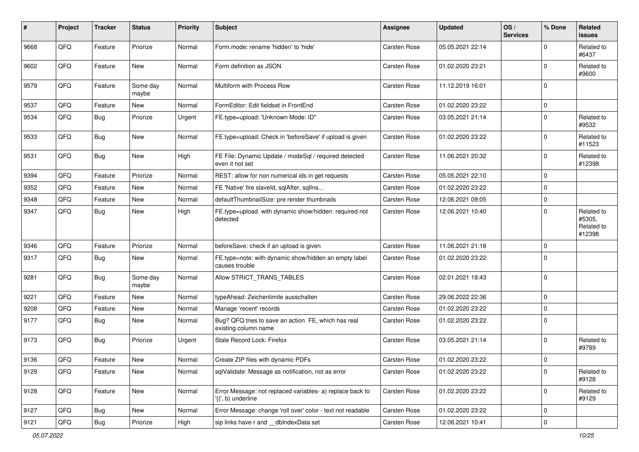| #    | Project | <b>Tracker</b> | <b>Status</b>     | <b>Priority</b> | <b>Subject</b>                                                                              | Assignee            | <b>Updated</b>   | OS/<br><b>Services</b> | % Done      | Related<br><b>issues</b>                     |
|------|---------|----------------|-------------------|-----------------|---------------------------------------------------------------------------------------------|---------------------|------------------|------------------------|-------------|----------------------------------------------|
| 9668 | QFQ     | Feature        | Priorize          | Normal          | Form.mode: rename 'hidden' to 'hide'                                                        | Carsten Rose        | 05.05.2021 22:14 |                        | $\Omega$    | Related to<br>#6437                          |
| 9602 | QFQ     | Feature        | <b>New</b>        | Normal          | Form definition as JSON                                                                     | Carsten Rose        | 01.02.2020 23:21 |                        | $\mathbf 0$ | Related to<br>#9600                          |
| 9579 | QFQ     | Feature        | Some day<br>maybe | Normal          | Multiform with Process Row                                                                  | Carsten Rose        | 11.12.2019 16:01 |                        | $\Omega$    |                                              |
| 9537 | QFQ     | Feature        | New               | Normal          | FormEditor: Edit fieldset in FrontEnd                                                       | <b>Carsten Rose</b> | 01.02.2020 23:22 |                        | 0           |                                              |
| 9534 | QFQ     | Bug            | Priorize          | Urgent          | FE.type=upload: 'Unknown Mode: ID"                                                          | Carsten Rose        | 03.05.2021 21:14 |                        | $\Omega$    | Related to<br>#9532                          |
| 9533 | QFQ     | <b>Bug</b>     | <b>New</b>        | Normal          | FE.type=upload: Check in 'beforeSave' if upload is given                                    | Carsten Rose        | 01.02.2020 23:22 |                        | $\mathbf 0$ | Related to<br>#11523                         |
| 9531 | QFQ     | <b>Bug</b>     | <b>New</b>        | High            | FE File: Dynamic Update / modeSql / required detected<br>even it not set                    | Carsten Rose        | 11.06.2021 20:32 |                        | $\mathbf 0$ | Related to<br>#12398                         |
| 9394 | QFQ     | Feature        | Priorize          | Normal          | REST: allow for non numerical ids in get requests                                           | Carsten Rose        | 05.05.2021 22:10 |                        | $\mathbf 0$ |                                              |
| 9352 | QFQ     | Feature        | <b>New</b>        | Normal          | FE 'Native' fire slaveld, sqlAfter, sqlIns                                                  | Carsten Rose        | 01.02.2020 23:22 |                        | $\mathbf 0$ |                                              |
| 9348 | QFQ     | Feature        | New               | Normal          | defaultThumbnailSize: pre render thumbnails                                                 | Carsten Rose        | 12.06.2021 09:05 |                        | $\mathbf 0$ |                                              |
| 9347 | QFQ     | Bug            | <b>New</b>        | High            | FE.type=upload with dynamic show/hidden: required not<br>detected                           | Carsten Rose        | 12.06.2021 10:40 |                        | $\mathbf 0$ | Related to<br>#5305,<br>Related to<br>#12398 |
| 9346 | QFQ     | Feature        | Priorize          | Normal          | beforeSave: check if an upload is given                                                     | Carsten Rose        | 11.06.2021 21:18 |                        | $\mathbf 0$ |                                              |
| 9317 | QFQ     | Bug            | New               | Normal          | FE.type=note: with dynamic show/hidden an empty label<br>causes trouble                     | Carsten Rose        | 01.02.2020 23:22 |                        | $\Omega$    |                                              |
| 9281 | QFQ     | <b>Bug</b>     | Some day<br>maybe | Normal          | Allow STRICT TRANS TABLES                                                                   | Carsten Rose        | 02.01.2021 18:43 |                        | $\mathbf 0$ |                                              |
| 9221 | QFQ     | Feature        | New               | Normal          | typeAhead: Zeichenlimite ausschalten                                                        | Carsten Rose        | 29.06.2022 22:36 |                        | $\mathbf 0$ |                                              |
| 9208 | QFQ     | Feature        | New               | Normal          | Manage 'recent' records                                                                     | Carsten Rose        | 01.02.2020 23:22 |                        | $\Omega$    |                                              |
| 9177 | QFQ     | Bug            | <b>New</b>        | Normal          | Bug? QFQ tries to save an action FE, which has real<br>existing column name                 | Carsten Rose        | 01.02.2020 23:22 |                        | $\mathbf 0$ |                                              |
| 9173 | QFQ     | Bug            | Priorize          | Urgent          | Stale Record Lock: Firefox                                                                  | Carsten Rose        | 03.05.2021 21:14 |                        | $\mathbf 0$ | Related to<br>#9789                          |
| 9136 | QFQ     | Feature        | New               | Normal          | Create ZIP files with dynamic PDFs                                                          | Carsten Rose        | 01.02.2020 23:22 |                        | $\mathbf 0$ |                                              |
| 9129 | QFQ     | Feature        | New               | Normal          | sqlValidate: Message as notification, not as error                                          | Carsten Rose        | 01.02.2020 23:22 |                        | $\mathbf 0$ | Related to<br>#9128                          |
| 9128 | QFQ     | Feature        | New               | Normal          | Error Message: not replaced variables- a) replace back to<br>$\langle \{ \}$ , b) underline | Carsten Rose        | 01.02.2020 23:22 |                        | 0           | Related to<br>#9129                          |
| 9127 | QFQ     | <b>Bug</b>     | New               | Normal          | Error Message: change 'roll over' color - text not readable                                 | Carsten Rose        | 01.02.2020 23:22 |                        | $\mathbf 0$ |                                              |
| 9121 | QFQ     | Bug            | Priorize          | High            | sip links have r and __dbIndexData set                                                      | Carsten Rose        | 12.06.2021 10:41 |                        | $\mathbf 0$ |                                              |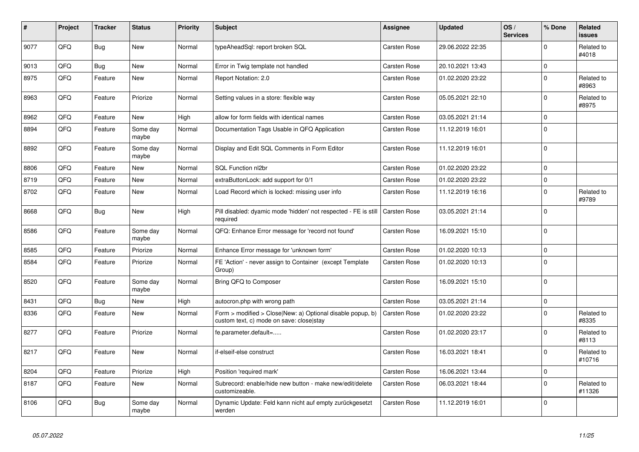| #    | Project | <b>Tracker</b> | <b>Status</b>     | <b>Priority</b> | <b>Subject</b>                                                                                         | <b>Assignee</b> | <b>Updated</b>   | OS/<br><b>Services</b> | % Done      | Related<br><b>issues</b> |
|------|---------|----------------|-------------------|-----------------|--------------------------------------------------------------------------------------------------------|-----------------|------------------|------------------------|-------------|--------------------------|
| 9077 | QFQ     | <b>Bug</b>     | <b>New</b>        | Normal          | typeAheadSql: report broken SQL                                                                        | Carsten Rose    | 29.06.2022 22:35 |                        | $\Omega$    | Related to<br>#4018      |
| 9013 | QFQ     | Bug            | <b>New</b>        | Normal          | Error in Twig template not handled                                                                     | Carsten Rose    | 20.10.2021 13:43 |                        | $\mathbf 0$ |                          |
| 8975 | QFQ     | Feature        | New               | Normal          | Report Notation: 2.0                                                                                   | Carsten Rose    | 01.02.2020 23:22 |                        | $\mathbf 0$ | Related to<br>#8963      |
| 8963 | QFQ     | Feature        | Priorize          | Normal          | Setting values in a store: flexible way                                                                | Carsten Rose    | 05.05.2021 22:10 |                        | $\mathbf 0$ | Related to<br>#8975      |
| 8962 | QFQ     | Feature        | <b>New</b>        | High            | allow for form fields with identical names                                                             | Carsten Rose    | 03.05.2021 21:14 |                        | $\mathbf 0$ |                          |
| 8894 | QFQ     | Feature        | Some day<br>maybe | Normal          | Documentation Tags Usable in QFQ Application                                                           | Carsten Rose    | 11.12.2019 16:01 |                        | $\mathbf 0$ |                          |
| 8892 | QFQ     | Feature        | Some day<br>maybe | Normal          | Display and Edit SQL Comments in Form Editor                                                           | Carsten Rose    | 11.12.2019 16:01 |                        | $\Omega$    |                          |
| 8806 | QFQ     | Feature        | <b>New</b>        | Normal          | SQL Function nl2br                                                                                     | Carsten Rose    | 01.02.2020 23:22 |                        | $\pmb{0}$   |                          |
| 8719 | QFQ     | Feature        | <b>New</b>        | Normal          | extraButtonLock: add support for 0/1                                                                   | Carsten Rose    | 01.02.2020 23:22 |                        | $\mathbf 0$ |                          |
| 8702 | QFQ     | Feature        | <b>New</b>        | Normal          | Load Record which is locked: missing user info                                                         | Carsten Rose    | 11.12.2019 16:16 |                        | $\mathbf 0$ | Related to<br>#9789      |
| 8668 | QFQ     | <b>Bug</b>     | <b>New</b>        | High            | Pill disabled: dyamic mode 'hidden' not respected - FE is still<br>required                            | Carsten Rose    | 03.05.2021 21:14 |                        | $\mathbf 0$ |                          |
| 8586 | QFQ     | Feature        | Some day<br>maybe | Normal          | QFQ: Enhance Error message for 'record not found'                                                      | Carsten Rose    | 16.09.2021 15:10 |                        | $\mathbf 0$ |                          |
| 8585 | QFQ     | Feature        | Priorize          | Normal          | Enhance Error message for 'unknown form'                                                               | Carsten Rose    | 01.02.2020 10:13 |                        | $\pmb{0}$   |                          |
| 8584 | QFQ     | Feature        | Priorize          | Normal          | FE 'Action' - never assign to Container (except Template<br>Group)                                     | Carsten Rose    | 01.02.2020 10:13 |                        | $\Omega$    |                          |
| 8520 | QFQ     | Feature        | Some day<br>maybe | Normal          | Bring QFQ to Composer                                                                                  | Carsten Rose    | 16.09.2021 15:10 |                        | $\mathbf 0$ |                          |
| 8431 | QFQ     | <b>Bug</b>     | <b>New</b>        | High            | autocron.php with wrong path                                                                           | Carsten Rose    | 03.05.2021 21:14 |                        | $\mathbf 0$ |                          |
| 8336 | QFQ     | Feature        | New               | Normal          | Form > modified > Close New: a) Optional disable popup, b)<br>custom text, c) mode on save: close stay | Carsten Rose    | 01.02.2020 23:22 |                        | $\mathbf 0$ | Related to<br>#8335      |
| 8277 | QFQ     | Feature        | Priorize          | Normal          | fe.parameter.default=                                                                                  | Carsten Rose    | 01.02.2020 23:17 |                        | $\mathbf 0$ | Related to<br>#8113      |
| 8217 | QFQ     | Feature        | <b>New</b>        | Normal          | if-elseif-else construct                                                                               | Carsten Rose    | 16.03.2021 18:41 |                        | $\Omega$    | Related to<br>#10716     |
| 8204 | QFQ     | Feature        | Priorize          | High            | Position 'required mark'                                                                               | Carsten Rose    | 16.06.2021 13:44 |                        | $\pmb{0}$   |                          |
| 8187 | QFQ     | Feature        | <b>New</b>        | Normal          | Subrecord: enable/hide new button - make new/edit/delete<br>customizeable.                             | Carsten Rose    | 06.03.2021 18:44 |                        | $\mathbf 0$ | Related to<br>#11326     |
| 8106 | QFQ     | Bug            | Some day<br>maybe | Normal          | Dynamic Update: Feld kann nicht auf empty zurückgesetzt<br>werden                                      | Carsten Rose    | 11.12.2019 16:01 |                        | $\mathbf 0$ |                          |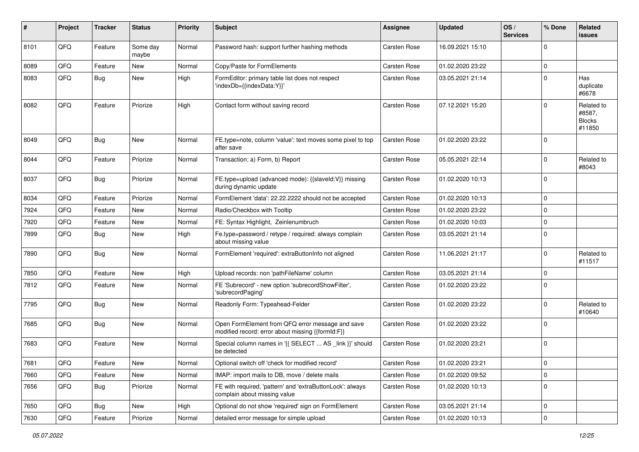| #    | Project | <b>Tracker</b> | <b>Status</b>     | <b>Priority</b> | <b>Subject</b>                                                                                        | <b>Assignee</b> | <b>Updated</b>   | OS/<br><b>Services</b> | % Done           | Related<br><b>issues</b>                        |
|------|---------|----------------|-------------------|-----------------|-------------------------------------------------------------------------------------------------------|-----------------|------------------|------------------------|------------------|-------------------------------------------------|
| 8101 | QFQ     | Feature        | Some day<br>maybe | Normal          | Password hash: support further hashing methods                                                        | Carsten Rose    | 16.09.2021 15:10 |                        | $\Omega$         |                                                 |
| 8089 | QFQ     | Feature        | New               | Normal          | Copy/Paste for FormElements                                                                           | Carsten Rose    | 01.02.2020 23:22 |                        | $\Omega$         |                                                 |
| 8083 | QFQ     | Bug            | New               | High            | FormEditor: primary table list does not respect<br>'indexDb={{indexData:Y}}'                          | Carsten Rose    | 03.05.2021 21:14 |                        | 0                | Has<br>duplicate<br>#6678                       |
| 8082 | QFQ     | Feature        | Priorize          | High            | Contact form without saving record                                                                    | Carsten Rose    | 07.12.2021 15:20 |                        | $\Omega$         | Related to<br>#8587,<br><b>Blocks</b><br>#11850 |
| 8049 | QFQ     | Bug            | New               | Normal          | FE.type=note, column 'value': text moves some pixel to top<br>after save                              | Carsten Rose    | 01.02.2020 23:22 |                        | $\Omega$         |                                                 |
| 8044 | QFQ     | Feature        | Priorize          | Normal          | Transaction: a) Form, b) Report                                                                       | Carsten Rose    | 05.05.2021 22:14 |                        | $\Omega$         | Related to<br>#8043                             |
| 8037 | QFQ     | Bug            | Priorize          | Normal          | FE.type=upload (advanced mode): {{slaveld:V}} missing<br>during dynamic update                        | Carsten Rose    | 01.02.2020 10:13 |                        | $\Omega$         |                                                 |
| 8034 | QFQ     | Feature        | Priorize          | Normal          | FormElement 'data': 22.22.2222 should not be accepted                                                 | Carsten Rose    | 01.02.2020 10:13 |                        | $\Omega$         |                                                 |
| 7924 | QFQ     | Feature        | New               | Normal          | Radio/Checkbox with Tooltip                                                                           | Carsten Rose    | 01.02.2020 23:22 |                        | 0                |                                                 |
| 7920 | QFQ     | Feature        | <b>New</b>        | Normal          | FE: Syntax Highlight, Zeinlenumbruch                                                                  | Carsten Rose    | 01.02.2020 10:03 |                        | $\Omega$         |                                                 |
| 7899 | QFQ     | <b>Bug</b>     | New               | High            | Fe.type=password / retype / required: always complain<br>about missing value                          | Carsten Rose    | 03.05.2021 21:14 |                        | $\Omega$         |                                                 |
| 7890 | QFQ     | Bug            | New               | Normal          | FormElement 'required': extraButtonInfo not aligned                                                   | Carsten Rose    | 11.06.2021 21:17 |                        | $\mathbf 0$      | Related to<br>#11517                            |
| 7850 | QFQ     | Feature        | <b>New</b>        | High            | Upload records: non 'pathFileName' column                                                             | Carsten Rose    | 03.05.2021 21:14 |                        | $\Omega$         |                                                 |
| 7812 | QFQ     | Feature        | New               | Normal          | FE 'Subrecord' - new option 'subrecordShowFilter',<br>'subrecordPaging'                               | Carsten Rose    | 01.02.2020 23:22 |                        | $\Omega$         |                                                 |
| 7795 | QFQ     | Bug            | New               | Normal          | Readonly Form: Typeahead-Felder                                                                       | Carsten Rose    | 01.02.2020 23:22 |                        | $\Omega$         | Related to<br>#10640                            |
| 7685 | QFQ     | <b>Bug</b>     | New               | Normal          | Open FormElement from QFQ error message and save<br>modified record: error about missing {{formId:F}} | Carsten Rose    | 01.02.2020 23:22 |                        | $\Omega$         |                                                 |
| 7683 | QFQ     | Feature        | <b>New</b>        | Normal          | Special column names in '{{ SELECT  AS _link }}' should<br>be detected                                | Carsten Rose    | 01.02.2020 23:21 |                        | $\mathbf 0$      |                                                 |
| 7681 | QFQ     | Feature        | New               | Normal          | Optional switch off 'check for modified record'                                                       | Carsten Rose    | 01.02.2020 23:21 |                        | $\boldsymbol{0}$ |                                                 |
| 7660 | QFQ     | Feature        | New               | Normal          | IMAP: import mails to DB, move / delete mails                                                         | Carsten Rose    | 01.02.2020 09:52 |                        | $\mathbf 0$      |                                                 |
| 7656 | QFQ     | Bug            | Priorize          | Normal          | FE with required, 'pattern' and 'extraButtonLock': always<br>complain about missing value             | Carsten Rose    | 01.02.2020 10:13 |                        | $\mathbf 0$      |                                                 |
| 7650 | QFQ     | <b>Bug</b>     | New               | High            | Optional do not show 'required' sign on FormElement                                                   | Carsten Rose    | 03.05.2021 21:14 |                        | 0                |                                                 |
| 7630 | QFQ     | Feature        | Priorize          | Normal          | detailed error message for simple upload                                                              | Carsten Rose    | 01.02.2020 10:13 |                        | $\mathbf 0$      |                                                 |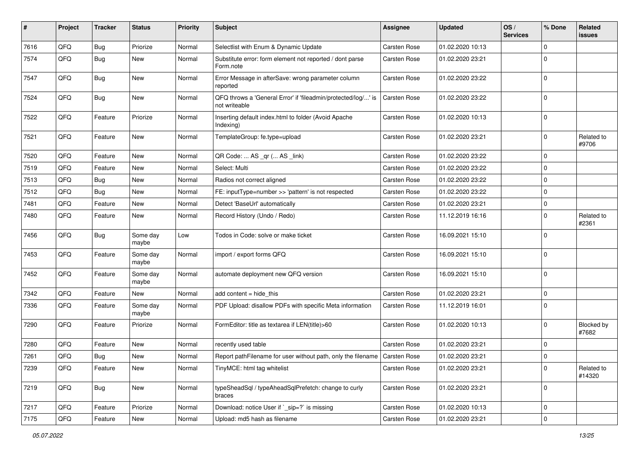| #    | Project | <b>Tracker</b> | <b>Status</b>     | <b>Priority</b> | <b>Subject</b>                                                                 | Assignee            | <b>Updated</b>   | OS/<br><b>Services</b> | % Done      | Related<br><b>issues</b> |
|------|---------|----------------|-------------------|-----------------|--------------------------------------------------------------------------------|---------------------|------------------|------------------------|-------------|--------------------------|
| 7616 | QFQ     | Bug            | Priorize          | Normal          | Selectlist with Enum & Dynamic Update                                          | Carsten Rose        | 01.02.2020 10:13 |                        | $\mathbf 0$ |                          |
| 7574 | QFQ     | <b>Bug</b>     | New               | Normal          | Substitute error: form element not reported / dont parse<br>Form.note          | <b>Carsten Rose</b> | 01.02.2020 23:21 |                        | 0           |                          |
| 7547 | QFQ     | Bug            | New               | Normal          | Error Message in afterSave: wrong parameter column<br>reported                 | <b>Carsten Rose</b> | 01.02.2020 23:22 |                        | $\mathbf 0$ |                          |
| 7524 | QFQ     | <b>Bug</b>     | New               | Normal          | QFQ throws a 'General Error' if 'fileadmin/protected/log/' is<br>not writeable | <b>Carsten Rose</b> | 01.02.2020 23:22 |                        | $\mathbf 0$ |                          |
| 7522 | QFQ     | Feature        | Priorize          | Normal          | Inserting default index.html to folder (Avoid Apache<br>Indexing)              | Carsten Rose        | 01.02.2020 10:13 |                        | $\mathbf 0$ |                          |
| 7521 | QFQ     | Feature        | New               | Normal          | TemplateGroup: fe.type=upload                                                  | <b>Carsten Rose</b> | 01.02.2020 23:21 |                        | $\mathbf 0$ | Related to<br>#9706      |
| 7520 | QFQ     | Feature        | New               | Normal          | QR Code:  AS _qr ( AS _link)                                                   | <b>Carsten Rose</b> | 01.02.2020 23:22 |                        | $\mathbf 0$ |                          |
| 7519 | QFQ     | Feature        | New               | Normal          | Select: Multi                                                                  | <b>Carsten Rose</b> | 01.02.2020 23:22 |                        | $\mathbf 0$ |                          |
| 7513 | QFQ     | Bug            | New               | Normal          | Radios not correct aligned                                                     | Carsten Rose        | 01.02.2020 23:22 |                        | $\mathbf 0$ |                          |
| 7512 | QFQ     | <b>Bug</b>     | New               | Normal          | FE: inputType=number >> 'pattern' is not respected                             | <b>Carsten Rose</b> | 01.02.2020 23:22 |                        | $\mathbf 0$ |                          |
| 7481 | QFQ     | Feature        | New               | Normal          | Detect 'BaseUrl' automatically                                                 | <b>Carsten Rose</b> | 01.02.2020 23:21 |                        | $\mathbf 0$ |                          |
| 7480 | QFQ     | Feature        | New               | Normal          | Record History (Undo / Redo)                                                   | Carsten Rose        | 11.12.2019 16:16 |                        | $\mathbf 0$ | Related to<br>#2361      |
| 7456 | QFQ     | <b>Bug</b>     | Some day<br>maybe | Low             | Todos in Code: solve or make ticket                                            | <b>Carsten Rose</b> | 16.09.2021 15:10 |                        | $\mathbf 0$ |                          |
| 7453 | QFQ     | Feature        | Some day<br>maybe | Normal          | import / export forms QFQ                                                      | <b>Carsten Rose</b> | 16.09.2021 15:10 |                        | $\mathbf 0$ |                          |
| 7452 | QFQ     | Feature        | Some day<br>maybe | Normal          | automate deployment new QFQ version                                            | <b>Carsten Rose</b> | 16.09.2021 15:10 |                        | $\mathsf 0$ |                          |
| 7342 | QFQ     | Feature        | New               | Normal          | add content = hide_this                                                        | <b>Carsten Rose</b> | 01.02.2020 23:21 |                        | $\mathbf 0$ |                          |
| 7336 | QFQ     | Feature        | Some day<br>maybe | Normal          | PDF Upload: disallow PDFs with specific Meta information                       | <b>Carsten Rose</b> | 11.12.2019 16:01 |                        | $\mathbf 0$ |                          |
| 7290 | QFQ     | Feature        | Priorize          | Normal          | FormEditor: title as textarea if LEN(title)>60                                 | <b>Carsten Rose</b> | 01.02.2020 10:13 |                        | $\mathbf 0$ | Blocked by<br>#7682      |
| 7280 | QFQ     | Feature        | New               | Normal          | recently used table                                                            | <b>Carsten Rose</b> | 01.02.2020 23:21 |                        | $\mathbf 0$ |                          |
| 7261 | QFQ     | <b>Bug</b>     | New               | Normal          | Report pathFilename for user without path, only the filename   Carsten Rose    |                     | 01.02.2020 23:21 |                        | $\mathbf 0$ |                          |
| 7239 | QFQ     | Feature        | New               | Normal          | TinyMCE: html tag whitelist                                                    | Carsten Rose        | 01.02.2020 23:21 |                        | $\mathbf 0$ | Related to<br>#14320     |
| 7219 | QFQ     | <b>Bug</b>     | New               | Normal          | typeSheadSql / typeAheadSqlPrefetch: change to curly<br>braces                 | Carsten Rose        | 01.02.2020 23:21 |                        | $\mathbf 0$ |                          |
| 7217 | QFQ     | Feature        | Priorize          | Normal          | Download: notice User if `_sip=?` is missing                                   | Carsten Rose        | 01.02.2020 10:13 |                        | $\mathsf 0$ |                          |
| 7175 | QFQ     | Feature        | New               | Normal          | Upload: md5 hash as filename                                                   | Carsten Rose        | 01.02.2020 23:21 |                        | $\pmb{0}$   |                          |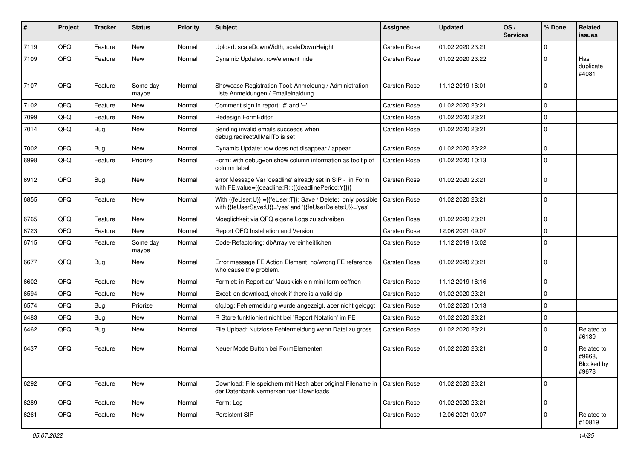| ∦    | Project | <b>Tracker</b> | <b>Status</b>     | <b>Priority</b> | Subject                                                                                                                    | <b>Assignee</b> | <b>Updated</b>   | OS/<br><b>Services</b> | % Done      | Related<br><b>issues</b>                    |
|------|---------|----------------|-------------------|-----------------|----------------------------------------------------------------------------------------------------------------------------|-----------------|------------------|------------------------|-------------|---------------------------------------------|
| 7119 | QFQ     | Feature        | <b>New</b>        | Normal          | Upload: scaleDownWidth, scaleDownHeight                                                                                    | Carsten Rose    | 01.02.2020 23:21 |                        | $\mathbf 0$ |                                             |
| 7109 | QFQ     | Feature        | New               | Normal          | Dynamic Updates: row/element hide                                                                                          | Carsten Rose    | 01.02.2020 23:22 |                        | $\mathbf 0$ | Has<br>duplicate<br>#4081                   |
| 7107 | QFQ     | Feature        | Some day<br>maybe | Normal          | Showcase Registration Tool: Anmeldung / Administration :<br>Liste Anmeldungen / Emaileinaldung                             | Carsten Rose    | 11.12.2019 16:01 |                        | $\mathbf 0$ |                                             |
| 7102 | QFQ     | Feature        | New               | Normal          | Comment sign in report: '#' and '--'                                                                                       | Carsten Rose    | 01.02.2020 23:21 |                        | $\mathbf 0$ |                                             |
| 7099 | QFQ     | Feature        | New               | Normal          | Redesign FormEditor                                                                                                        | Carsten Rose    | 01.02.2020 23:21 |                        | $\mathbf 0$ |                                             |
| 7014 | QFQ     | <b>Bug</b>     | New               | Normal          | Sending invalid emails succeeds when<br>debug.redirectAllMailTo is set                                                     | Carsten Rose    | 01.02.2020 23:21 |                        | $\mathbf 0$ |                                             |
| 7002 | QFQ     | <b>Bug</b>     | New               | Normal          | Dynamic Update: row does not disappear / appear                                                                            | Carsten Rose    | 01.02.2020 23:22 |                        | $\mathbf 0$ |                                             |
| 6998 | QFQ     | Feature        | Priorize          | Normal          | Form: with debug=on show column information as tooltip of<br>column label                                                  | Carsten Rose    | 01.02.2020 10:13 |                        | $\mathbf 0$ |                                             |
| 6912 | QFQ     | Bug            | New               | Normal          | error Message Var 'deadline' already set in SIP - in Form<br>with FE.value={{deadline:R:::{{deadlinePeriod:Y}}}}           | Carsten Rose    | 01.02.2020 23:21 |                        | $\mathbf 0$ |                                             |
| 6855 | QFQ     | Feature        | New               | Normal          | With {{feUser:U}}!={{feUser:T}}: Save / Delete: only possible<br>with {{feUserSave:U}}='yes' and '{{feUserDelete:U}}='yes' | Carsten Rose    | 01.02.2020 23:21 |                        | $\mathbf 0$ |                                             |
| 6765 | QFQ     | Feature        | New               | Normal          | Moeglichkeit via QFQ eigene Logs zu schreiben                                                                              | Carsten Rose    | 01.02.2020 23:21 |                        | $\mathbf 0$ |                                             |
| 6723 | QFQ     | Feature        | New               | Normal          | Report QFQ Installation and Version                                                                                        | Carsten Rose    | 12.06.2021 09:07 |                        | $\mathbf 0$ |                                             |
| 6715 | QFQ     | Feature        | Some day<br>maybe | Normal          | Code-Refactoring: dbArray vereinheitlichen                                                                                 | Carsten Rose    | 11.12.2019 16:02 |                        | $\mathbf 0$ |                                             |
| 6677 | QFQ     | Bug            | New               | Normal          | Error message FE Action Element: no/wrong FE reference<br>who cause the problem.                                           | Carsten Rose    | 01.02.2020 23:21 |                        | $\mathbf 0$ |                                             |
| 6602 | QFQ     | Feature        | New               | Normal          | Formlet: in Report auf Mausklick ein mini-form oeffnen                                                                     | Carsten Rose    | 11.12.2019 16:16 |                        | $\mathbf 0$ |                                             |
| 6594 | QFQ     | Feature        | New               | Normal          | Excel: on download, check if there is a valid sip                                                                          | Carsten Rose    | 01.02.2020 23:21 |                        | $\mathbf 0$ |                                             |
| 6574 | QFQ     | <b>Bug</b>     | Priorize          | Normal          | gfg.log: Fehlermeldung wurde angezeigt, aber nicht geloggt                                                                 | Carsten Rose    | 01.02.2020 10:13 |                        | $\mathbf 0$ |                                             |
| 6483 | QFQ     | <b>Bug</b>     | New               | Normal          | R Store funktioniert nicht bei 'Report Notation' im FE                                                                     | Carsten Rose    | 01.02.2020 23:21 |                        | $\mathbf 0$ |                                             |
| 6462 | QFQ     | <b>Bug</b>     | New               | Normal          | File Upload: Nutzlose Fehlermeldung wenn Datei zu gross                                                                    | Carsten Rose    | 01.02.2020 23:21 |                        | $\mathbf 0$ | Related to<br>#6139                         |
| 6437 | QFQ     | Feature        | New               | Normal          | Neuer Mode Button bei FormElementen                                                                                        | Carsten Rose    | 01.02.2020 23:21 |                        | $\mathbf 0$ | Related to<br>#9668,<br>Blocked by<br>#9678 |
| 6292 | QFQ     | Feature        | New               | Normal          | Download: File speichern mit Hash aber original Filename in<br>der Datenbank vermerken fuer Downloads                      | Carsten Rose    | 01.02.2020 23:21 |                        | $\mathbf 0$ |                                             |
| 6289 | QFQ     | Feature        | New               | Normal          | Form: Log                                                                                                                  | Carsten Rose    | 01.02.2020 23:21 |                        | $\mathbf 0$ |                                             |
| 6261 | QFQ     | Feature        | New               | Normal          | Persistent SIP                                                                                                             | Carsten Rose    | 12.06.2021 09:07 |                        | $\mathbf 0$ | Related to<br>#10819                        |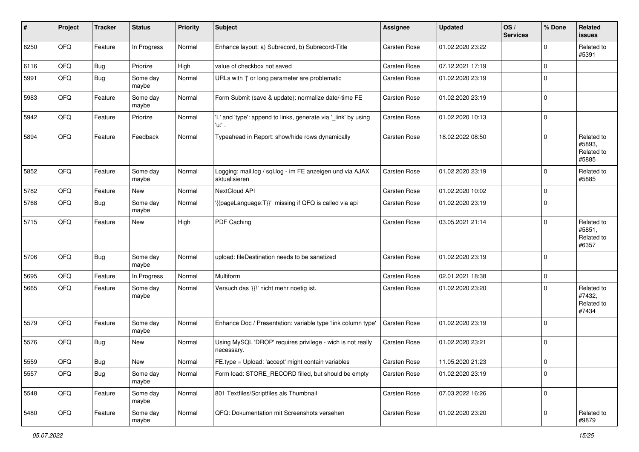| #    | Project        | <b>Tracker</b> | <b>Status</b>     | <b>Priority</b> | <b>Subject</b>                                                             | <b>Assignee</b>     | <b>Updated</b>   | OS/<br><b>Services</b> | % Done      | Related<br><b>issues</b>                    |
|------|----------------|----------------|-------------------|-----------------|----------------------------------------------------------------------------|---------------------|------------------|------------------------|-------------|---------------------------------------------|
| 6250 | QFQ            | Feature        | In Progress       | Normal          | Enhance layout: a) Subrecord, b) Subrecord-Title                           | <b>Carsten Rose</b> | 01.02.2020 23:22 |                        | $\mathbf 0$ | Related to<br>#5391                         |
| 6116 | QFQ            | Bug            | Priorize          | High            | value of checkbox not saved                                                | Carsten Rose        | 07.12.2021 17:19 |                        | $\pmb{0}$   |                                             |
| 5991 | QFQ            | <b>Bug</b>     | Some day<br>maybe | Normal          | URLs with ' ' or long parameter are problematic                            | Carsten Rose        | 01.02.2020 23:19 |                        | $\mathbf 0$ |                                             |
| 5983 | QFQ            | Feature        | Some day<br>maybe | Normal          | Form Submit (save & update): normalize date/-time FE                       | Carsten Rose        | 01.02.2020 23:19 |                        | $\mathbf 0$ |                                             |
| 5942 | QFQ            | Feature        | Priorize          | Normal          | 'L' and 'type': append to links, generate via '_link' by using<br>'u:' .   | Carsten Rose        | 01.02.2020 10:13 |                        | $\mathbf 0$ |                                             |
| 5894 | QFQ            | Feature        | Feedback          | Normal          | Typeahead in Report: show/hide rows dynamically                            | <b>Carsten Rose</b> | 18.02.2022 08:50 |                        | $\Omega$    | Related to<br>#5893,<br>Related to<br>#5885 |
| 5852 | QFQ            | Feature        | Some day<br>maybe | Normal          | Logging: mail.log / sql.log - im FE anzeigen und via AJAX<br>aktualisieren | Carsten Rose        | 01.02.2020 23:19 |                        | $\mathbf 0$ | Related to<br>#5885                         |
| 5782 | QFQ            | Feature        | New               | Normal          | NextCloud API                                                              | Carsten Rose        | 01.02.2020 10:02 |                        | $\pmb{0}$   |                                             |
| 5768 | QFQ            | Bug            | Some day<br>maybe | Normal          | '{{pageLanguage:T}}' missing if QFQ is called via api                      | <b>Carsten Rose</b> | 01.02.2020 23:19 |                        | $\mathbf 0$ |                                             |
| 5715 | QFQ            | Feature        | New               | High            | PDF Caching                                                                | <b>Carsten Rose</b> | 03.05.2021 21:14 |                        | $\mathbf 0$ | Related to<br>#5851,<br>Related to<br>#6357 |
| 5706 | QFQ            | <b>Bug</b>     | Some day<br>maybe | Normal          | upload: fileDestination needs to be sanatized                              | Carsten Rose        | 01.02.2020 23:19 |                        | $\mathbf 0$ |                                             |
| 5695 | QFQ            | Feature        | In Progress       | Normal          | Multiform                                                                  | Carsten Rose        | 02.01.2021 18:38 |                        | $\mathbf 0$ |                                             |
| 5665 | QFQ            | Feature        | Some day<br>maybe | Normal          | Versuch das '{{!' nicht mehr noetig ist.                                   | Carsten Rose        | 01.02.2020 23:20 |                        | $\Omega$    | Related to<br>#7432,<br>Related to<br>#7434 |
| 5579 | QFQ            | Feature        | Some day<br>maybe | Normal          | Enhance Doc / Presentation: variable type 'link column type'               | Carsten Rose        | 01.02.2020 23:19 |                        | $\mathbf 0$ |                                             |
| 5576 | QFQ            | <b>Bug</b>     | <b>New</b>        | Normal          | Using MySQL 'DROP' requires privilege - wich is not really<br>necessary.   | Carsten Rose        | 01.02.2020 23:21 |                        | $\mathbf 0$ |                                             |
| 5559 | $\mathsf{QFQ}$ | <b>Bug</b>     | New               | Normal          | FE.type = Upload: 'accept' might contain variables                         | Carsten Rose        | 11.05.2020 21:23 |                        | $\pmb{0}$   |                                             |
| 5557 | QFQ            | Bug            | Some day<br>maybe | Normal          | Form load: STORE_RECORD filled, but should be empty                        | Carsten Rose        | 01.02.2020 23:19 |                        | $\mathbf 0$ |                                             |
| 5548 | QFG            | Feature        | Some day<br>maybe | Normal          | 801 Textfiles/Scriptfiles als Thumbnail                                    | Carsten Rose        | 07.03.2022 16:26 |                        | $\mathbf 0$ |                                             |
| 5480 | QFG            | Feature        | Some day<br>maybe | Normal          | QFQ: Dokumentation mit Screenshots versehen                                | Carsten Rose        | 01.02.2020 23:20 |                        | $\mathbf 0$ | Related to<br>#9879                         |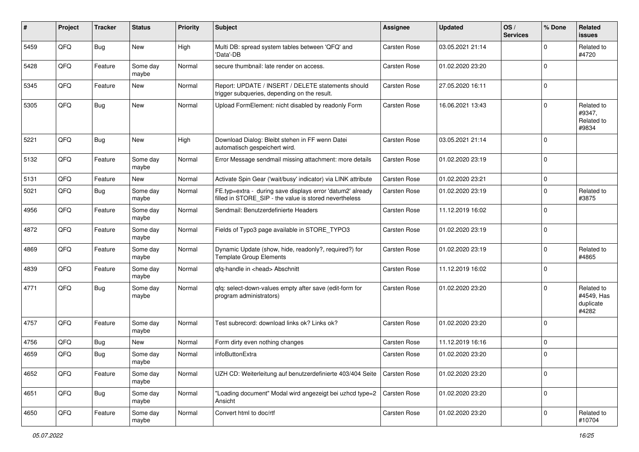| $\#$ | Project | <b>Tracker</b> | <b>Status</b>     | <b>Priority</b> | <b>Subject</b>                                                                                                       | <b>Assignee</b> | <b>Updated</b>   | OS/<br><b>Services</b> | % Done      | Related<br><b>issues</b>                       |
|------|---------|----------------|-------------------|-----------------|----------------------------------------------------------------------------------------------------------------------|-----------------|------------------|------------------------|-------------|------------------------------------------------|
| 5459 | QFQ     | Bug            | New               | High            | Multi DB: spread system tables between 'QFQ' and<br>'Data'-DB                                                        | Carsten Rose    | 03.05.2021 21:14 |                        | $\mathbf 0$ | Related to<br>#4720                            |
| 5428 | QFQ     | Feature        | Some day<br>maybe | Normal          | secure thumbnail: late render on access.                                                                             | Carsten Rose    | 01.02.2020 23:20 |                        | $\Omega$    |                                                |
| 5345 | QFQ     | Feature        | New               | Normal          | Report: UPDATE / INSERT / DELETE statements should<br>trigger subqueries, depending on the result.                   | Carsten Rose    | 27.05.2020 16:11 |                        | $\mathbf 0$ |                                                |
| 5305 | QFQ     | <b>Bug</b>     | New               | Normal          | Upload FormElement: nicht disabled by readonly Form                                                                  | Carsten Rose    | 16.06.2021 13:43 |                        | $\mathbf 0$ | Related to<br>#9347,<br>Related to<br>#9834    |
| 5221 | QFQ     | <b>Bug</b>     | New               | High            | Download Dialog: Bleibt stehen in FF wenn Datei<br>automatisch gespeichert wird.                                     | Carsten Rose    | 03.05.2021 21:14 |                        | $\mathbf 0$ |                                                |
| 5132 | QFQ     | Feature        | Some day<br>maybe | Normal          | Error Message sendmail missing attachment: more details                                                              | Carsten Rose    | 01.02.2020 23:19 |                        | $\mathbf 0$ |                                                |
| 5131 | QFQ     | Feature        | New               | Normal          | Activate Spin Gear ('wait/busy' indicator) via LINK attribute                                                        | Carsten Rose    | 01.02.2020 23:21 |                        | $\pmb{0}$   |                                                |
| 5021 | QFQ     | <b>Bug</b>     | Some day<br>maybe | Normal          | FE.typ=extra - during save displays error 'datum2' already<br>filled in STORE_SIP - the value is stored nevertheless | Carsten Rose    | 01.02.2020 23:19 |                        | $\mathbf 0$ | Related to<br>#3875                            |
| 4956 | QFQ     | Feature        | Some day<br>maybe | Normal          | Sendmail: Benutzerdefinierte Headers                                                                                 | Carsten Rose    | 11.12.2019 16:02 |                        | $\pmb{0}$   |                                                |
| 4872 | QFQ     | Feature        | Some day<br>maybe | Normal          | Fields of Typo3 page available in STORE_TYPO3                                                                        | Carsten Rose    | 01.02.2020 23:19 |                        | $\mathbf 0$ |                                                |
| 4869 | QFQ     | Feature        | Some day<br>maybe | Normal          | Dynamic Update (show, hide, readonly?, required?) for<br><b>Template Group Elements</b>                              | Carsten Rose    | 01.02.2020 23:19 |                        | $\mathbf 0$ | Related to<br>#4865                            |
| 4839 | QFQ     | Feature        | Some day<br>maybe | Normal          | qfq-handle in <head> Abschnitt</head>                                                                                | Carsten Rose    | 11.12.2019 16:02 |                        | $\mathbf 0$ |                                                |
| 4771 | QFQ     | Bug            | Some day<br>maybe | Normal          | qfq: select-down-values empty after save (edit-form for<br>program administrators)                                   | Carsten Rose    | 01.02.2020 23:20 |                        | $\mathbf 0$ | Related to<br>#4549, Has<br>duplicate<br>#4282 |
| 4757 | QFQ     | Feature        | Some day<br>maybe | Normal          | Test subrecord: download links ok? Links ok?                                                                         | Carsten Rose    | 01.02.2020 23:20 |                        | $\mathbf 0$ |                                                |
| 4756 | QFQ     | <b>Bug</b>     | New               | Normal          | Form dirty even nothing changes                                                                                      | Carsten Rose    | 11.12.2019 16:16 |                        | $\pmb{0}$   |                                                |
| 4659 | QFQ     | <b>Bug</b>     | Some day<br>maybe | Normal          | infoButtonExtra                                                                                                      | Carsten Rose    | 01.02.2020 23:20 |                        | $\mathbf 0$ |                                                |
| 4652 | QFQ     | Feature        | Some day<br>maybe | Normal          | UZH CD: Weiterleitung auf benutzerdefinierte 403/404 Seite                                                           | Carsten Rose    | 01.02.2020 23:20 |                        | $\pmb{0}$   |                                                |
| 4651 | QFQ     | <b>Bug</b>     | Some day<br>maybe | Normal          | "Loading document" Modal wird angezeigt bei uzhcd type=2<br>Ansicht                                                  | Carsten Rose    | 01.02.2020 23:20 |                        | $\pmb{0}$   |                                                |
| 4650 | QFQ     | Feature        | Some day<br>maybe | Normal          | Convert html to doc/rtf                                                                                              | Carsten Rose    | 01.02.2020 23:20 |                        | $\pmb{0}$   | Related to<br>#10704                           |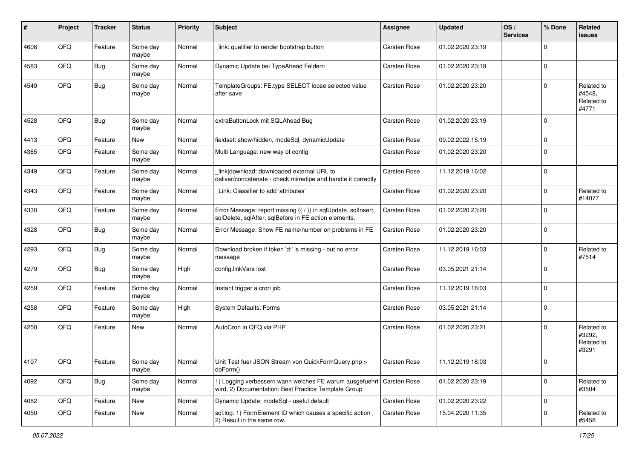| #    | Project | <b>Tracker</b> | <b>Status</b>     | <b>Priority</b> | <b>Subject</b>                                                                                                          | <b>Assignee</b> | <b>Updated</b>   | OS/<br><b>Services</b> | % Done      | Related<br>issues                           |
|------|---------|----------------|-------------------|-----------------|-------------------------------------------------------------------------------------------------------------------------|-----------------|------------------|------------------------|-------------|---------------------------------------------|
| 4606 | QFQ     | Feature        | Some day<br>maybe | Normal          | link: qualifier to render bootstrap button                                                                              | Carsten Rose    | 01.02.2020 23:19 |                        | $\Omega$    |                                             |
| 4583 | QFQ     | Bug            | Some day<br>maybe | Normal          | Dynamic Update bei TypeAhead Feldern                                                                                    | Carsten Rose    | 01.02.2020 23:19 |                        | $\mathbf 0$ |                                             |
| 4549 | QFQ     | Bug            | Some day<br>maybe | Normal          | TemplateGroups: FE.type SELECT loose selected value<br>after save                                                       | Carsten Rose    | 01.02.2020 23:20 |                        | $\Omega$    | Related to<br>#4548,<br>Related to<br>#4771 |
| 4528 | QFQ     | Bug            | Some day<br>maybe | Normal          | extraButtonLock mit SQLAhead Bug                                                                                        | Carsten Rose    | 01.02.2020 23:19 |                        | $\Omega$    |                                             |
| 4413 | QFQ     | Feature        | New               | Normal          | fieldset: show/hidden, modeSql, dynamicUpdate                                                                           | Carsten Rose    | 09.02.2022 15:19 |                        | $\Omega$    |                                             |
| 4365 | QFQ     | Feature        | Some day<br>maybe | Normal          | Multi Language: new way of config                                                                                       | Carsten Rose    | 01.02.2020 23:20 |                        | 0           |                                             |
| 4349 | QFQ     | Feature        | Some day<br>maybe | Normal          | link download: downloaded external URL to<br>deliver/concatenate - check mimetipe and handle it correctly               | Carsten Rose    | 11.12.2019 16:02 |                        | $\mathbf 0$ |                                             |
| 4343 | QFQ     | Feature        | Some day<br>maybe | Normal          | Link: Classifier to add 'attributes'                                                                                    | Carsten Rose    | 01.02.2020 23:20 |                        | $\Omega$    | Related to<br>#14077                        |
| 4330 | QFQ     | Feature        | Some day<br>maybe | Normal          | Error Message: report missing {{ / }} in sqlUpdate, sqlInsert,<br>sqlDelete, sqlAfter, sqlBefore in FE action elements. | Carsten Rose    | 01.02.2020 23:20 |                        | $\Omega$    |                                             |
| 4328 | QFQ     | Bug            | Some day<br>maybe | Normal          | Error Message: Show FE name/number on problems in FE                                                                    | Carsten Rose    | 01.02.2020 23:20 |                        | $\mathbf 0$ |                                             |
| 4293 | QFQ     | Bug            | Some day<br>maybe | Normal          | Download broken if token 'd:' is missing - but no error<br>message                                                      | Carsten Rose    | 11.12.2019 16:03 |                        | $\Omega$    | Related to<br>#7514                         |
| 4279 | QFQ     | Bug            | Some day<br>maybe | High            | config.linkVars lost                                                                                                    | Carsten Rose    | 03.05.2021 21:14 |                        | $\Omega$    |                                             |
| 4259 | QFQ     | Feature        | Some day<br>maybe | Normal          | Instant trigger a cron job                                                                                              | Carsten Rose    | 11.12.2019 16:03 |                        | $\Omega$    |                                             |
| 4258 | QFQ     | Feature        | Some day<br>maybe | High            | <b>System Defaults: Forms</b>                                                                                           | Carsten Rose    | 03.05.2021 21:14 |                        | $\Omega$    |                                             |
| 4250 | QFQ     | Feature        | New               | Normal          | AutoCron in QFQ via PHP                                                                                                 | Carsten Rose    | 01.02.2020 23:21 |                        | 0           | Related to<br>#3292,<br>Related to<br>#3291 |
| 4197 | QFQ     | Feature        | Some day<br>maybe | Normal          | Unit Test fuer JSON Stream von QuickFormQuery.php ><br>doForm()                                                         | Carsten Rose    | 11.12.2019 16:03 |                        |             |                                             |
| 4092 | QFQ     | <b>Bug</b>     | Some day<br>maybe | Normal          | 1) Logging verbessern wann welches FE warum ausgefuehrt<br>wird, 2) Documentation: Best Practice Template Group         | Carsten Rose    | 01.02.2020 23:19 |                        | $\mathbf 0$ | Related to<br>#3504                         |
| 4082 | QFQ     | Feature        | New               | Normal          | Dynamic Update: modeSgl - useful default                                                                                | Carsten Rose    | 01.02.2020 23:22 |                        | 0           |                                             |
| 4050 | QFQ     | Feature        | New               | Normal          | sql.log: 1) FormElement ID which causes a specific action,<br>2) Result in the same row.                                | Carsten Rose    | 15.04.2020 11:35 |                        | $\mathbf 0$ | Related to<br>#5458                         |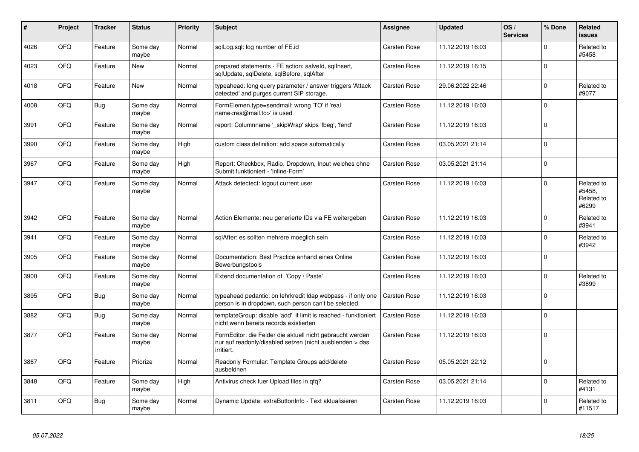| #    | Project | <b>Tracker</b> | <b>Status</b>     | <b>Priority</b> | <b>Subject</b>                                                                                                                      | <b>Assignee</b>     | <b>Updated</b>   | OS/<br><b>Services</b> | % Done      | Related<br><b>issues</b>                    |
|------|---------|----------------|-------------------|-----------------|-------------------------------------------------------------------------------------------------------------------------------------|---------------------|------------------|------------------------|-------------|---------------------------------------------|
| 4026 | QFQ     | Feature        | Some day<br>maybe | Normal          | sglLog.sgl: log number of FE.id                                                                                                     | Carsten Rose        | 11.12.2019 16:03 |                        | $\Omega$    | Related to<br>#5458                         |
| 4023 | QFQ     | Feature        | <b>New</b>        | Normal          | prepared statements - FE action: salveld, sgllnsert,<br>sglUpdate, sglDelete, sglBefore, sglAfter                                   | Carsten Rose        | 11.12.2019 16:15 |                        | $\Omega$    |                                             |
| 4018 | QFQ     | Feature        | <b>New</b>        | Normal          | typeahead: long query parameter / answer triggers 'Attack<br>detected' and purges current SIP storage.                              | Carsten Rose        | 29.06.2022 22:46 |                        | $\mathbf 0$ | Related to<br>#9077                         |
| 4008 | QFQ     | Bug            | Some day<br>maybe | Normal          | FormElemen.type=sendmail: wrong 'TO' if 'real<br>name <rea@mail.to>' is used</rea@mail.to>                                          | Carsten Rose        | 11.12.2019 16:03 |                        | $\mathbf 0$ |                                             |
| 3991 | QFQ     | Feature        | Some day<br>maybe | Normal          | report: Columnname ' skipWrap' skips 'fbeg', 'fend'                                                                                 | Carsten Rose        | 11.12.2019 16:03 |                        | $\Omega$    |                                             |
| 3990 | QFQ     | Feature        | Some day<br>maybe | High            | custom class definition: add space automatically                                                                                    | <b>Carsten Rose</b> | 03.05.2021 21:14 |                        | $\mathbf 0$ |                                             |
| 3967 | QFQ     | Feature        | Some day<br>maybe | High            | Report: Checkbox, Radio, Dropdown, Input welches ohne<br>Submit funktioniert - 'Inline-Form'                                        | <b>Carsten Rose</b> | 03.05.2021 21:14 |                        | $\Omega$    |                                             |
| 3947 | QFQ     | Feature        | Some day<br>maybe | Normal          | Attack detectect: logout current user                                                                                               | Carsten Rose        | 11.12.2019 16:03 |                        | $\Omega$    | Related to<br>#5458.<br>Related to<br>#6299 |
| 3942 | QFQ     | Feature        | Some day<br>maybe | Normal          | Action Elemente: neu generierte IDs via FE weitergeben                                                                              | Carsten Rose        | 11.12.2019 16:03 |                        | $\mathbf 0$ | Related to<br>#3941                         |
| 3941 | QFQ     | Feature        | Some day<br>maybe | Normal          | sqlAfter: es sollten mehrere moeglich sein                                                                                          | <b>Carsten Rose</b> | 11.12.2019 16:03 |                        | $\Omega$    | Related to<br>#3942                         |
| 3905 | QFQ     | Feature        | Some day<br>maybe | Normal          | Documentation: Best Practice anhand eines Online<br>Bewerbungstools                                                                 | Carsten Rose        | 11.12.2019 16:03 |                        | $\Omega$    |                                             |
| 3900 | QFQ     | Feature        | Some day<br>maybe | Normal          | Extend documentation of 'Copy / Paste'                                                                                              | Carsten Rose        | 11.12.2019 16:03 |                        | $\mathbf 0$ | Related to<br>#3899                         |
| 3895 | QFQ     | <b>Bug</b>     | Some day<br>maybe | Normal          | typeahead pedantic: on lehrkredit Idap webpass - if only one<br>person is in dropdown, such person can't be selected                | Carsten Rose        | 11.12.2019 16:03 |                        | $\Omega$    |                                             |
| 3882 | QFQ     | Bug            | Some day<br>maybe | Normal          | templateGroup: disable 'add' if limit is reached - funktioniert<br>nicht wenn bereits records existierten                           | Carsten Rose        | 11.12.2019 16:03 |                        | $\mathbf 0$ |                                             |
| 3877 | QFQ     | Feature        | Some day<br>maybe | Normal          | FormEditor: die Felder die aktuell nicht gebraucht werden<br>nur auf readonly/disabled setzen (nicht ausblenden > das<br>irritiert. | Carsten Rose        | 11.12.2019 16:03 |                        | $\mathbf 0$ |                                             |
| 3867 | QFQ     | Feature        | Priorize          | Normal          | Readonly Formular: Template Groups add/delete<br>ausbeldnen                                                                         | Carsten Rose        | 05.05.2021 22:12 |                        | $\mathbf 0$ |                                             |
| 3848 | QFQ     | Feature        | Some day<br>maybe | High            | Antivirus check fuer Upload files in qfq?                                                                                           | Carsten Rose        | 03.05.2021 21:14 |                        | $\mathbf 0$ | Related to<br>#4131                         |
| 3811 | QFQ     | Bug            | Some day<br>maybe | Normal          | Dynamic Update: extraButtonInfo - Text aktualisieren                                                                                | <b>Carsten Rose</b> | 11.12.2019 16:03 |                        | $\mathbf 0$ | Related to<br>#11517                        |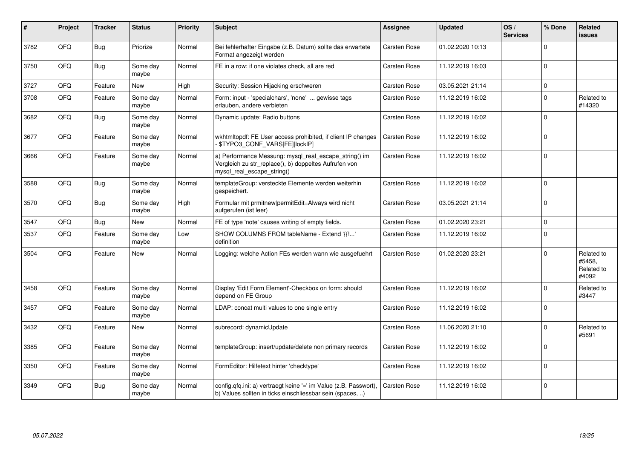| $\vert$ # | Project | <b>Tracker</b> | <b>Status</b>     | <b>Priority</b> | <b>Subject</b>                                                                                                                               | <b>Assignee</b> | <b>Updated</b>   | OS/<br><b>Services</b> | % Done      | Related<br><b>issues</b>                    |
|-----------|---------|----------------|-------------------|-----------------|----------------------------------------------------------------------------------------------------------------------------------------------|-----------------|------------------|------------------------|-------------|---------------------------------------------|
| 3782      | QFQ     | Bug            | Priorize          | Normal          | Bei fehlerhafter Eingabe (z.B. Datum) sollte das erwartete<br>Format angezeigt werden                                                        | Carsten Rose    | 01.02.2020 10:13 |                        | $\Omega$    |                                             |
| 3750      | QFQ     | Bug            | Some day<br>maybe | Normal          | FE in a row: if one violates check, all are red                                                                                              | Carsten Rose    | 11.12.2019 16:03 |                        | $\Omega$    |                                             |
| 3727      | QFQ     | Feature        | <b>New</b>        | High            | Security: Session Hijacking erschweren                                                                                                       | Carsten Rose    | 03.05.2021 21:14 |                        | $\mathbf 0$ |                                             |
| 3708      | QFQ     | Feature        | Some day<br>maybe | Normal          | Form: input - 'specialchars', 'none'  gewisse tags<br>erlauben, andere verbieten                                                             | Carsten Rose    | 11.12.2019 16:02 |                        | $\Omega$    | Related to<br>#14320                        |
| 3682      | QFQ     | Bug            | Some day<br>maybe | Normal          | Dynamic update: Radio buttons                                                                                                                | Carsten Rose    | 11.12.2019 16:02 |                        | $\Omega$    |                                             |
| 3677      | QFQ     | Feature        | Some day<br>maybe | Normal          | wkhtmltopdf: FE User access prohibited, if client IP changes<br>- \$TYPO3_CONF_VARS[FE][lockIP]                                              | Carsten Rose    | 11.12.2019 16:02 |                        | $\Omega$    |                                             |
| 3666      | QFQ     | Feature        | Some day<br>maybe | Normal          | a) Performance Messung: mysql_real_escape_string() im<br>Vergleich zu str_replace(), b) doppeltes Aufrufen von<br>mysgl real escape string() | Carsten Rose    | 11.12.2019 16:02 |                        | $\mathbf 0$ |                                             |
| 3588      | QFQ     | Bug            | Some day<br>maybe | Normal          | templateGroup: versteckte Elemente werden weiterhin<br>gespeichert.                                                                          | Carsten Rose    | 11.12.2019 16:02 |                        | $\Omega$    |                                             |
| 3570      | QFQ     | Bug            | Some day<br>maybe | High            | Formular mit prmitnew permitEdit=Always wird nicht<br>aufgerufen (ist leer)                                                                  | Carsten Rose    | 03.05.2021 21:14 |                        | $\mathbf 0$ |                                             |
| 3547      | QFQ     | Bug            | <b>New</b>        | Normal          | FE of type 'note' causes writing of empty fields.                                                                                            | Carsten Rose    | 01.02.2020 23:21 |                        | $\mathbf 0$ |                                             |
| 3537      | QFQ     | Feature        | Some day<br>maybe | Low             | SHOW COLUMNS FROM tableName - Extend '{{!'<br>definition                                                                                     | Carsten Rose    | 11.12.2019 16:02 |                        | $\Omega$    |                                             |
| 3504      | QFQ     | Feature        | New               | Normal          | Logging: welche Action FEs werden wann wie ausgefuehrt                                                                                       | Carsten Rose    | 01.02.2020 23:21 |                        | $\Omega$    | Related to<br>#5458.<br>Related to<br>#4092 |
| 3458      | QFQ     | Feature        | Some day<br>maybe | Normal          | Display 'Edit Form Element'-Checkbox on form: should<br>depend on FE Group                                                                   | Carsten Rose    | 11.12.2019 16:02 |                        | $\Omega$    | Related to<br>#3447                         |
| 3457      | QFQ     | Feature        | Some day<br>maybe | Normal          | LDAP: concat multi values to one single entry                                                                                                | Carsten Rose    | 11.12.2019 16:02 |                        | $\Omega$    |                                             |
| 3432      | QFQ     | Feature        | <b>New</b>        | Normal          | subrecord: dynamicUpdate                                                                                                                     | Carsten Rose    | 11.06.2020 21:10 |                        | $\mathbf 0$ | Related to<br>#5691                         |
| 3385      | QFQ     | Feature        | Some day<br>maybe | Normal          | templateGroup: insert/update/delete non primary records                                                                                      | Carsten Rose    | 11.12.2019 16:02 |                        | $\mathbf 0$ |                                             |
| 3350      | QFQ     | Feature        | Some day<br>maybe | Normal          | FormEditor: Hilfetext hinter 'checktype'                                                                                                     | Carsten Rose    | 11.12.2019 16:02 |                        | $\mathbf 0$ |                                             |
| 3349      | QFQ     | Bug            | Some day<br>maybe | Normal          | config.qfq.ini: a) vertraegt keine '=' im Value (z.B. Passwort),<br>b) Values sollten in ticks einschliessbar sein (spaces, )                | Carsten Rose    | 11.12.2019 16:02 |                        | $\Omega$    |                                             |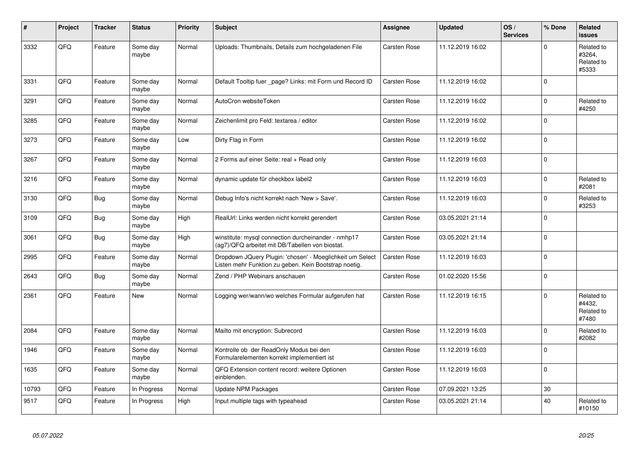| #     | Project | <b>Tracker</b> | <b>Status</b>     | <b>Priority</b> | <b>Subject</b>                                                                                                     | <b>Assignee</b>     | <b>Updated</b>   | OS/<br><b>Services</b> | % Done   | Related<br><b>issues</b>                    |
|-------|---------|----------------|-------------------|-----------------|--------------------------------------------------------------------------------------------------------------------|---------------------|------------------|------------------------|----------|---------------------------------------------|
| 3332  | QFQ     | Feature        | Some day<br>maybe | Normal          | Uploads: Thumbnails, Details zum hochgeladenen File                                                                | Carsten Rose        | 11.12.2019 16:02 |                        | $\Omega$ | Related to<br>#3264,<br>Related to<br>#5333 |
| 3331  | QFQ     | Feature        | Some day<br>maybe | Normal          | Default Tooltip fuer _page? Links: mit Form und Record ID                                                          | <b>Carsten Rose</b> | 11.12.2019 16:02 |                        | $\Omega$ |                                             |
| 3291  | QFQ     | Feature        | Some day<br>maybe | Normal          | AutoCron websiteToken                                                                                              | Carsten Rose        | 11.12.2019 16:02 |                        | $\Omega$ | Related to<br>#4250                         |
| 3285  | QFQ     | Feature        | Some day<br>maybe | Normal          | Zeichenlimit pro Feld: textarea / editor                                                                           | Carsten Rose        | 11.12.2019 16:02 |                        | $\Omega$ |                                             |
| 3273  | QFQ     | Feature        | Some day<br>maybe | Low             | Dirty Flag in Form                                                                                                 | Carsten Rose        | 11.12.2019 16:02 |                        | $\Omega$ |                                             |
| 3267  | QFQ     | Feature        | Some day<br>maybe | Normal          | 2 Forms auf einer Seite: real + Read only                                                                          | Carsten Rose        | 11.12.2019 16:03 |                        | $\Omega$ |                                             |
| 3216  | QFQ     | Feature        | Some day<br>maybe | Normal          | dynamic update für checkbox label2                                                                                 | Carsten Rose        | 11.12.2019 16:03 |                        | $\Omega$ | Related to<br>#2081                         |
| 3130  | QFQ     | <b>Bug</b>     | Some day<br>maybe | Normal          | Debug Info's nicht korrekt nach 'New > Save'.                                                                      | Carsten Rose        | 11.12.2019 16:03 |                        | $\Omega$ | Related to<br>#3253                         |
| 3109  | QFQ     | <b>Bug</b>     | Some day<br>maybe | High            | RealUrl: Links werden nicht korrekt gerendert                                                                      | Carsten Rose        | 03.05.2021 21:14 |                        | $\Omega$ |                                             |
| 3061  | QFQ     | <b>Bug</b>     | Some day<br>maybe | High            | winstitute: mysql connection durcheinander - nmhp17<br>(ag7)/QFQ arbeitet mit DB/Tabellen von biostat.             | Carsten Rose        | 03.05.2021 21:14 |                        | $\Omega$ |                                             |
| 2995  | QFQ     | Feature        | Some day<br>maybe | Normal          | Dropdown JQuery Plugin: 'chosen' - Moeglichkeit um Select<br>Listen mehr Funktion zu geben. Kein Bootstrap noetig. | Carsten Rose        | 11.12.2019 16:03 |                        | $\Omega$ |                                             |
| 2643  | QFQ     | <b>Bug</b>     | Some day<br>maybe | Normal          | Zend / PHP Webinars anschauen                                                                                      | Carsten Rose        | 01.02.2020 15:56 |                        | $\Omega$ |                                             |
| 2361  | QFQ     | Feature        | <b>New</b>        | Normal          | Logging wer/wann/wo welches Formular aufgerufen hat                                                                | Carsten Rose        | 11.12.2019 16:15 |                        | $\Omega$ | Related to<br>#4432,<br>Related to<br>#7480 |
| 2084  | QFQ     | Feature        | Some day<br>maybe | Normal          | Mailto mit encryption: Subrecord                                                                                   | Carsten Rose        | 11.12.2019 16:03 |                        | $\Omega$ | Related to<br>#2082                         |
| 1946  | QFQ     | Feature        | Some day<br>maybe | Normal          | Kontrolle ob der ReadOnly Modus bei den<br>Formularelementen korrekt implementiert ist                             | Carsten Rose        | 11.12.2019 16:03 |                        | $\Omega$ |                                             |
| 1635  | QFQ     | Feature        | Some day<br>maybe | Normal          | QFQ Extension content record: weitere Optionen<br>einblenden.                                                      | Carsten Rose        | 11.12.2019 16:03 |                        | $\Omega$ |                                             |
| 10793 | QFQ     | Feature        | In Progress       | Normal          | Update NPM Packages                                                                                                | Carsten Rose        | 07.09.2021 13:25 |                        | 30       |                                             |
| 9517  | QFQ     | Feature        | In Progress       | High            | Input multiple tags with typeahead                                                                                 | Carsten Rose        | 03.05.2021 21:14 |                        | 40       | Related to<br>#10150                        |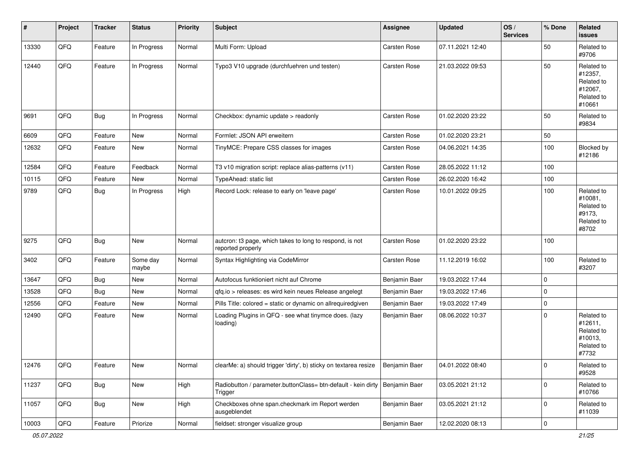| $\vert$ # | Project        | <b>Tracker</b> | <b>Status</b>     | <b>Priority</b> | <b>Subject</b>                                                                           | <b>Assignee</b> | <b>Updated</b>   | OS/<br><b>Services</b> | % Done      | Related<br><b>issues</b>                                               |
|-----------|----------------|----------------|-------------------|-----------------|------------------------------------------------------------------------------------------|-----------------|------------------|------------------------|-------------|------------------------------------------------------------------------|
| 13330     | QFQ            | Feature        | In Progress       | Normal          | Multi Form: Upload                                                                       | Carsten Rose    | 07.11.2021 12:40 |                        | 50          | Related to<br>#9706                                                    |
| 12440     | QFQ            | Feature        | In Progress       | Normal          | Typo3 V10 upgrade (durchfuehren und testen)                                              | Carsten Rose    | 21.03.2022 09:53 |                        | 50          | Related to<br>#12357,<br>Related to<br>#12067,<br>Related to<br>#10661 |
| 9691      | QFQ            | <b>Bug</b>     | In Progress       | Normal          | Checkbox: dynamic update > readonly                                                      | Carsten Rose    | 01.02.2020 23:22 |                        | 50          | Related to<br>#9834                                                    |
| 6609      | QFQ            | Feature        | New               | Normal          | Formlet: JSON API erweitern                                                              | Carsten Rose    | 01.02.2020 23:21 |                        | 50          |                                                                        |
| 12632     | QFQ            | Feature        | New               | Normal          | TinyMCE: Prepare CSS classes for images                                                  | Carsten Rose    | 04.06.2021 14:35 |                        | 100         | Blocked by<br>#12186                                                   |
| 12584     | QFQ            | Feature        | Feedback          | Normal          | T3 v10 migration script: replace alias-patterns (v11)                                    | Carsten Rose    | 28.05.2022 11:12 |                        | 100         |                                                                        |
| 10115     | QFQ            | Feature        | New               | Normal          | TypeAhead: static list                                                                   | Carsten Rose    | 26.02.2020 16:42 |                        | 100         |                                                                        |
| 9789      | QFQ            | <b>Bug</b>     | In Progress       | High            | Record Lock: release to early on 'leave page'                                            | Carsten Rose    | 10.01.2022 09:25 |                        | 100         | Related to<br>#10081,<br>Related to<br>#9173,<br>Related to<br>#8702   |
| 9275      | QFQ            | <b>Bug</b>     | New               | Normal          | autcron: t3 page, which takes to long to respond, is not<br>reported properly            | Carsten Rose    | 01.02.2020 23:22 |                        | 100         |                                                                        |
| 3402      | QFQ            | Feature        | Some day<br>maybe | Normal          | Syntax Highlighting via CodeMirror                                                       | Carsten Rose    | 11.12.2019 16:02 |                        | 100         | Related to<br>#3207                                                    |
| 13647     | QFQ            | Bug            | <b>New</b>        | Normal          | Autofocus funktioniert nicht auf Chrome                                                  | Benjamin Baer   | 19.03.2022 17:44 |                        | $\mathbf 0$ |                                                                        |
| 13528     | QFQ            | <b>Bug</b>     | New               | Normal          | qfq.io > releases: es wird kein neues Release angelegt                                   | Benjamin Baer   | 19.03.2022 17:46 |                        | $\pmb{0}$   |                                                                        |
| 12556     | QFQ            | Feature        | New               | Normal          | Pills Title: colored = static or dynamic on allrequiredgiven                             | Benjamin Baer   | 19.03.2022 17:49 |                        | $\pmb{0}$   |                                                                        |
| 12490     | QFQ            | Feature        | New               | Normal          | Loading Plugins in QFQ - see what tinymce does. (lazy<br>loading)                        | Benjamin Baer   | 08.06.2022 10:37 |                        | $\mathbf 0$ | Related to<br>#12611,<br>Related to<br>#10013,<br>Related to<br>#7732  |
| 12476     | $\mathsf{QFQ}$ | Feature        | New               | Normal          | clearMe: a) should trigger 'dirty', b) sticky on textarea resize                         | Benjamin Baer   | 04.01.2022 08:40 |                        | 0           | Related to<br>#9528                                                    |
| 11237     | QFQ            | <b>Bug</b>     | New               | High            | Radiobutton / parameter.buttonClass= btn-default - kein dirty   Benjamin Baer<br>Trigger |                 | 03.05.2021 21:12 |                        | $\pmb{0}$   | Related to<br>#10766                                                   |
| 11057     | QFQ            | <b>Bug</b>     | New               | High            | Checkboxes ohne span.checkmark im Report werden<br>ausgeblendet                          | Benjamin Baer   | 03.05.2021 21:12 |                        | $\pmb{0}$   | Related to<br>#11039                                                   |
| 10003     | QFQ            | Feature        | Priorize          | Normal          | fieldset: stronger visualize group                                                       | Benjamin Baer   | 12.02.2020 08:13 |                        | $\mathsf 0$ |                                                                        |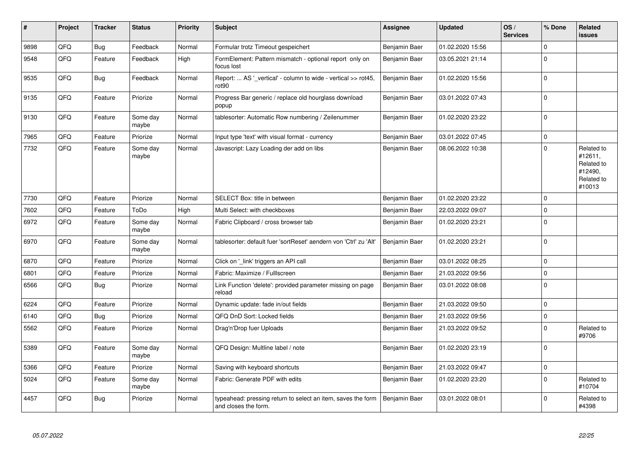| $\sharp$ | Project | <b>Tracker</b> | <b>Status</b>     | <b>Priority</b> | <b>Subject</b>                                                                       | <b>Assignee</b> | <b>Updated</b>   | OS/<br><b>Services</b> | % Done      | Related<br><b>issues</b>                                               |
|----------|---------|----------------|-------------------|-----------------|--------------------------------------------------------------------------------------|-----------------|------------------|------------------------|-------------|------------------------------------------------------------------------|
| 9898     | QFQ     | <b>Bug</b>     | Feedback          | Normal          | Formular trotz Timeout gespeichert                                                   | Benjamin Baer   | 01.02.2020 15:56 |                        | $\mathbf 0$ |                                                                        |
| 9548     | QFQ     | Feature        | Feedback          | High            | FormElement: Pattern mismatch - optional report only on<br>focus lost                | Benjamin Baer   | 03.05.2021 21:14 |                        | $\Omega$    |                                                                        |
| 9535     | QFQ     | <b>Bug</b>     | Feedback          | Normal          | Report:  AS ' vertical' - column to wide - vertical >> rot45,<br>rot90               | Benjamin Baer   | 01.02.2020 15:56 |                        | $\mathbf 0$ |                                                                        |
| 9135     | QFQ     | Feature        | Priorize          | Normal          | Progress Bar generic / replace old hourglass download<br>popup                       | Benjamin Baer   | 03.01.2022 07:43 |                        | $\mathbf 0$ |                                                                        |
| 9130     | QFQ     | Feature        | Some day<br>maybe | Normal          | tablesorter: Automatic Row numbering / Zeilenummer                                   | Benjamin Baer   | 01.02.2020 23:22 |                        | $\mathbf 0$ |                                                                        |
| 7965     | QFQ     | Feature        | Priorize          | Normal          | Input type 'text' with visual format - currency                                      | Benjamin Baer   | 03.01.2022 07:45 |                        | $\mathbf 0$ |                                                                        |
| 7732     | QFQ     | Feature        | Some day<br>maybe | Normal          | Javascript: Lazy Loading der add on libs                                             | Benjamin Baer   | 08.06.2022 10:38 |                        | $\mathbf 0$ | Related to<br>#12611,<br>Related to<br>#12490.<br>Related to<br>#10013 |
| 7730     | QFQ     | Feature        | Priorize          | Normal          | SELECT Box: title in between                                                         | Benjamin Baer   | 01.02.2020 23:22 |                        | $\mathbf 0$ |                                                                        |
| 7602     | QFQ     | Feature        | ToDo              | High            | Multi Select: with checkboxes                                                        | Benjamin Baer   | 22.03.2022 09:07 |                        | $\Omega$    |                                                                        |
| 6972     | QFQ     | Feature        | Some day<br>maybe | Normal          | Fabric Clipboard / cross browser tab                                                 | Benjamin Baer   | 01.02.2020 23:21 |                        | $\Omega$    |                                                                        |
| 6970     | QFQ     | Feature        | Some day<br>maybe | Normal          | tablesorter: default fuer 'sortReset' aendern von 'Ctrl' zu 'Alt'                    | Benjamin Baer   | 01.02.2020 23:21 |                        | $\Omega$    |                                                                        |
| 6870     | QFQ     | Feature        | Priorize          | Normal          | Click on '_link' triggers an API call                                                | Benjamin Baer   | 03.01.2022 08:25 |                        | $\mathbf 0$ |                                                                        |
| 6801     | QFQ     | Feature        | Priorize          | Normal          | Fabric: Maximize / Fulllscreen                                                       | Benjamin Baer   | 21.03.2022 09:56 |                        | $\pmb{0}$   |                                                                        |
| 6566     | QFQ     | Bug            | Priorize          | Normal          | Link Function 'delete': provided parameter missing on page<br>reload                 | Benjamin Baer   | 03.01.2022 08:08 |                        | $\Omega$    |                                                                        |
| 6224     | QFQ     | Feature        | Priorize          | Normal          | Dynamic update: fade in/out fields                                                   | Benjamin Baer   | 21.03.2022 09:50 |                        | $\mathbf 0$ |                                                                        |
| 6140     | QFQ     | Bug            | Priorize          | Normal          | QFQ DnD Sort: Locked fields                                                          | Benjamin Baer   | 21.03.2022 09:56 |                        | $\pmb{0}$   |                                                                        |
| 5562     | QFQ     | Feature        | Priorize          | Normal          | Drag'n'Drop fuer Uploads                                                             | Benjamin Baer   | 21.03.2022 09:52 |                        | $\mathbf 0$ | Related to<br>#9706                                                    |
| 5389     | QFQ     | Feature        | Some day<br>maybe | Normal          | QFQ Design: Multline label / note                                                    | Benjamin Baer   | 01.02.2020 23:19 |                        | $\mathbf 0$ |                                                                        |
| 5366     | QFQ     | Feature        | Priorize          | Normal          | Saving with keyboard shortcuts                                                       | Benjamin Baer   | 21.03.2022 09:47 |                        | $\pmb{0}$   |                                                                        |
| 5024     | QFQ     | Feature        | Some day<br>maybe | Normal          | Fabric: Generate PDF with edits                                                      | Benjamin Baer   | 01.02.2020 23:20 |                        | $\mathbf 0$ | Related to<br>#10704                                                   |
| 4457     | QFQ     | Bug            | Priorize          | Normal          | typeahead: pressing return to select an item, saves the form<br>and closes the form. | Benjamin Baer   | 03.01.2022 08:01 |                        | $\Omega$    | Related to<br>#4398                                                    |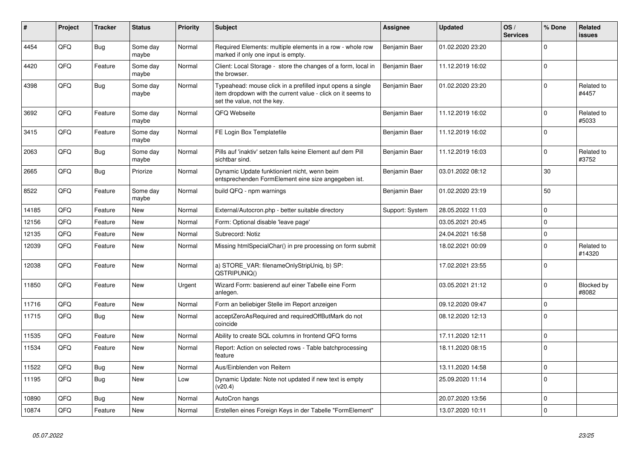| #     | Project | <b>Tracker</b> | <b>Status</b>     | <b>Priority</b> | <b>Subject</b>                                                                                                                                           | Assignee        | <b>Updated</b>   | OS/<br><b>Services</b> | % Done      | Related<br><b>issues</b> |
|-------|---------|----------------|-------------------|-----------------|----------------------------------------------------------------------------------------------------------------------------------------------------------|-----------------|------------------|------------------------|-------------|--------------------------|
| 4454  | QFQ     | Bug            | Some day<br>maybe | Normal          | Required Elements: multiple elements in a row - whole row<br>marked if only one input is empty.                                                          | Benjamin Baer   | 01.02.2020 23:20 |                        | $\Omega$    |                          |
| 4420  | QFQ     | Feature        | Some day<br>maybe | Normal          | Client: Local Storage - store the changes of a form, local in<br>the browser.                                                                            | Benjamin Baer   | 11.12.2019 16:02 |                        | $\mathbf 0$ |                          |
| 4398  | QFQ     | <b>Bug</b>     | Some dav<br>maybe | Normal          | Typeahead: mouse click in a prefilled input opens a single<br>item dropdown with the current value - click on it seems to<br>set the value, not the key. | Benjamin Baer   | 01.02.2020 23:20 |                        | $\mathbf 0$ | Related to<br>#4457      |
| 3692  | QFQ     | Feature        | Some day<br>maybe | Normal          | QFQ Webseite                                                                                                                                             | Benjamin Baer   | 11.12.2019 16:02 |                        | $\pmb{0}$   | Related to<br>#5033      |
| 3415  | QFQ     | Feature        | Some day<br>maybe | Normal          | FE Login Box Templatefile                                                                                                                                | Benjamin Baer   | 11.12.2019 16:02 |                        | $\mathbf 0$ |                          |
| 2063  | QFQ     | <b>Bug</b>     | Some day<br>maybe | Normal          | Pills auf 'inaktiv' setzen falls keine Element auf dem Pill<br>sichtbar sind.                                                                            | Benjamin Baer   | 11.12.2019 16:03 |                        | $\mathbf 0$ | Related to<br>#3752      |
| 2665  | QFQ     | Bug            | Priorize          | Normal          | Dynamic Update funktioniert nicht, wenn beim<br>entsprechenden FormElement eine size angegeben ist.                                                      | Benjamin Baer   | 03.01.2022 08:12 |                        | 30          |                          |
| 8522  | QFQ     | Feature        | Some day<br>maybe | Normal          | build QFQ - npm warnings                                                                                                                                 | Benjamin Baer   | 01.02.2020 23:19 |                        | 50          |                          |
| 14185 | QFQ     | Feature        | <b>New</b>        | Normal          | External/Autocron.php - better suitable directory                                                                                                        | Support: System | 28.05.2022 11:03 |                        | $\mathbf 0$ |                          |
| 12156 | QFQ     | Feature        | New               | Normal          | Form: Optional disable 'leave page'                                                                                                                      |                 | 03.05.2021 20:45 |                        | $\Omega$    |                          |
| 12135 | QFQ     | Feature        | <b>New</b>        | Normal          | Subrecord: Notiz                                                                                                                                         |                 | 24.04.2021 16:58 |                        | $\mathbf 0$ |                          |
| 12039 | QFQ     | Feature        | <b>New</b>        | Normal          | Missing htmlSpecialChar() in pre processing on form submit                                                                                               |                 | 18.02.2021 00:09 |                        | $\mathbf 0$ | Related to<br>#14320     |
| 12038 | QFQ     | Feature        | <b>New</b>        | Normal          | a) STORE_VAR: filenameOnlyStripUniq, b) SP:<br>QSTRIPUNIQ()                                                                                              |                 | 17.02.2021 23:55 |                        | $\mathbf 0$ |                          |
| 11850 | QFQ     | Feature        | New               | Urgent          | Wizard Form: basierend auf einer Tabelle eine Form<br>anlegen.                                                                                           |                 | 03.05.2021 21:12 |                        | $\mathbf 0$ | Blocked by<br>#8082      |
| 11716 | QFQ     | Feature        | <b>New</b>        | Normal          | Form an beliebiger Stelle im Report anzeigen                                                                                                             |                 | 09.12.2020 09:47 |                        | $\mathbf 0$ |                          |
| 11715 | QFQ     | Bug            | <b>New</b>        | Normal          | acceptZeroAsRequired and requiredOffButMark do not<br>coincide                                                                                           |                 | 08.12.2020 12:13 |                        | $\mathbf 0$ |                          |
| 11535 | QFQ     | Feature        | New               | Normal          | Ability to create SQL columns in frontend QFQ forms                                                                                                      |                 | 17.11.2020 12:11 |                        | $\pmb{0}$   |                          |
| 11534 | QFQ     | Feature        | New               | Normal          | Report: Action on selected rows - Table batchprocessing<br>feature                                                                                       |                 | 18.11.2020 08:15 |                        | $\Omega$    |                          |
| 11522 | QFQ     | Bug            | <b>New</b>        | Normal          | Aus/Einblenden von Reitern                                                                                                                               |                 | 13.11.2020 14:58 |                        | $\pmb{0}$   |                          |
| 11195 | QFQ     | <b>Bug</b>     | New               | Low             | Dynamic Update: Note not updated if new text is empty<br>(v20.4)                                                                                         |                 | 25.09.2020 11:14 |                        | $\Omega$    |                          |
| 10890 | QFQ     | Bug            | New               | Normal          | AutoCron hangs                                                                                                                                           |                 | 20.07.2020 13:56 |                        | $\mathbf 0$ |                          |
| 10874 | QFQ     | Feature        | <b>New</b>        | Normal          | Erstellen eines Foreign Keys in der Tabelle "FormElement"                                                                                                |                 | 13.07.2020 10:11 |                        | $\pmb{0}$   |                          |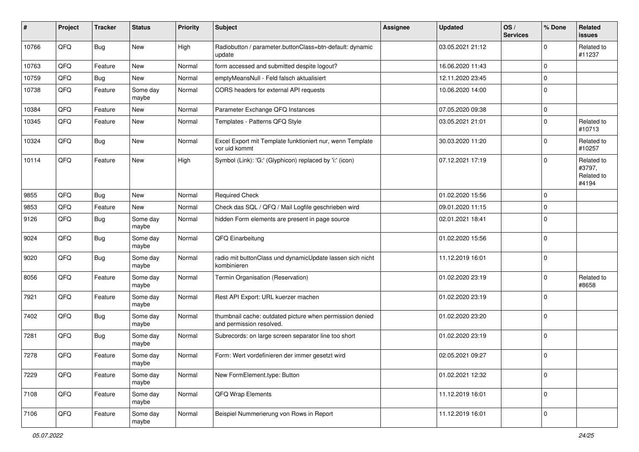| #     | Project | <b>Tracker</b> | <b>Status</b>     | <b>Priority</b> | <b>Subject</b>                                                                       | Assignee | <b>Updated</b>   | OS/<br><b>Services</b> | % Done      | Related<br><b>issues</b>                    |
|-------|---------|----------------|-------------------|-----------------|--------------------------------------------------------------------------------------|----------|------------------|------------------------|-------------|---------------------------------------------|
| 10766 | QFQ     | <b>Bug</b>     | New               | High            | Radiobutton / parameter.buttonClass=btn-default: dynamic<br>update                   |          | 03.05.2021 21:12 |                        | $\mathbf 0$ | Related to<br>#11237                        |
| 10763 | QFQ     | Feature        | New               | Normal          | form accessed and submitted despite logout?                                          |          | 16.06.2020 11:43 |                        | $\mathbf 0$ |                                             |
| 10759 | QFQ     | Bug            | New               | Normal          | emptyMeansNull - Feld falsch aktualisiert                                            |          | 12.11.2020 23:45 |                        | $\mathbf 0$ |                                             |
| 10738 | QFQ     | Feature        | Some day<br>maybe | Normal          | CORS headers for external API requests                                               |          | 10.06.2020 14:00 |                        | $\mathbf 0$ |                                             |
| 10384 | QFQ     | Feature        | New               | Normal          | Parameter Exchange QFQ Instances                                                     |          | 07.05.2020 09:38 |                        | $\mathbf 0$ |                                             |
| 10345 | QFQ     | Feature        | New               | Normal          | Templates - Patterns QFQ Style                                                       |          | 03.05.2021 21:01 |                        | $\mathbf 0$ | Related to<br>#10713                        |
| 10324 | QFQ     | Bug            | New               | Normal          | Excel Export mit Template funktioniert nur, wenn Template<br>vor uid kommt           |          | 30.03.2020 11:20 |                        | $\mathbf 0$ | Related to<br>#10257                        |
| 10114 | QFQ     | Feature        | New               | High            | Symbol (Link): 'G:' (Glyphicon) replaced by 'i:' (icon)                              |          | 07.12.2021 17:19 |                        | $\mathbf 0$ | Related to<br>#3797,<br>Related to<br>#4194 |
| 9855  | QFQ     | Bug            | New               | Normal          | <b>Required Check</b>                                                                |          | 01.02.2020 15:56 |                        | $\mathbf 0$ |                                             |
| 9853  | QFQ     | Feature        | <b>New</b>        | Normal          | Check das SQL / QFQ / Mail Logfile geschrieben wird                                  |          | 09.01.2020 11:15 |                        | $\pmb{0}$   |                                             |
| 9126  | QFQ     | Bug            | Some day<br>maybe | Normal          | hidden Form elements are present in page source                                      |          | 02.01.2021 18:41 |                        | $\mathbf 0$ |                                             |
| 9024  | QFQ     | Bug            | Some day<br>maybe | Normal          | QFQ Einarbeitung                                                                     |          | 01.02.2020 15:56 |                        | $\mathsf 0$ |                                             |
| 9020  | QFQ     | Bug            | Some day<br>maybe | Normal          | radio mit buttonClass und dynamicUpdate lassen sich nicht<br>kombinieren             |          | 11.12.2019 16:01 |                        | $\mathbf 0$ |                                             |
| 8056  | QFQ     | Feature        | Some day<br>maybe | Normal          | Termin Organisation (Reservation)                                                    |          | 01.02.2020 23:19 |                        | $\mathbf 0$ | Related to<br>#8658                         |
| 7921  | QFQ     | Feature        | Some day<br>maybe | Normal          | Rest API Export: URL kuerzer machen                                                  |          | 01.02.2020 23:19 |                        | $\mathbf 0$ |                                             |
| 7402  | QFQ     | Bug            | Some day<br>maybe | Normal          | thumbnail cache: outdated picture when permission denied<br>and permission resolved. |          | 01.02.2020 23:20 |                        | $\mathbf 0$ |                                             |
| 7281  | QFQ     | <b>Bug</b>     | Some day<br>maybe | Normal          | Subrecords: on large screen separator line too short                                 |          | 01.02.2020 23:19 |                        | $\mathbf 0$ |                                             |
| 7278  | QFQ     | Feature        | Some day<br>maybe | Normal          | Form: Wert vordefinieren der immer gesetzt wird                                      |          | 02.05.2021 09:27 |                        | $\mathbf 0$ |                                             |
| 7229  | QFQ     | Feature        | Some day<br>maybe | Normal          | New FormElement.type: Button                                                         |          | 01.02.2021 12:32 |                        | $\mathbf 0$ |                                             |
| 7108  | QFQ     | Feature        | Some day<br>maybe | Normal          | QFQ Wrap Elements                                                                    |          | 11.12.2019 16:01 |                        | $\mathbf 0$ |                                             |
| 7106  | QFQ     | Feature        | Some day<br>maybe | Normal          | Beispiel Nummerierung von Rows in Report                                             |          | 11.12.2019 16:01 |                        | $\pmb{0}$   |                                             |